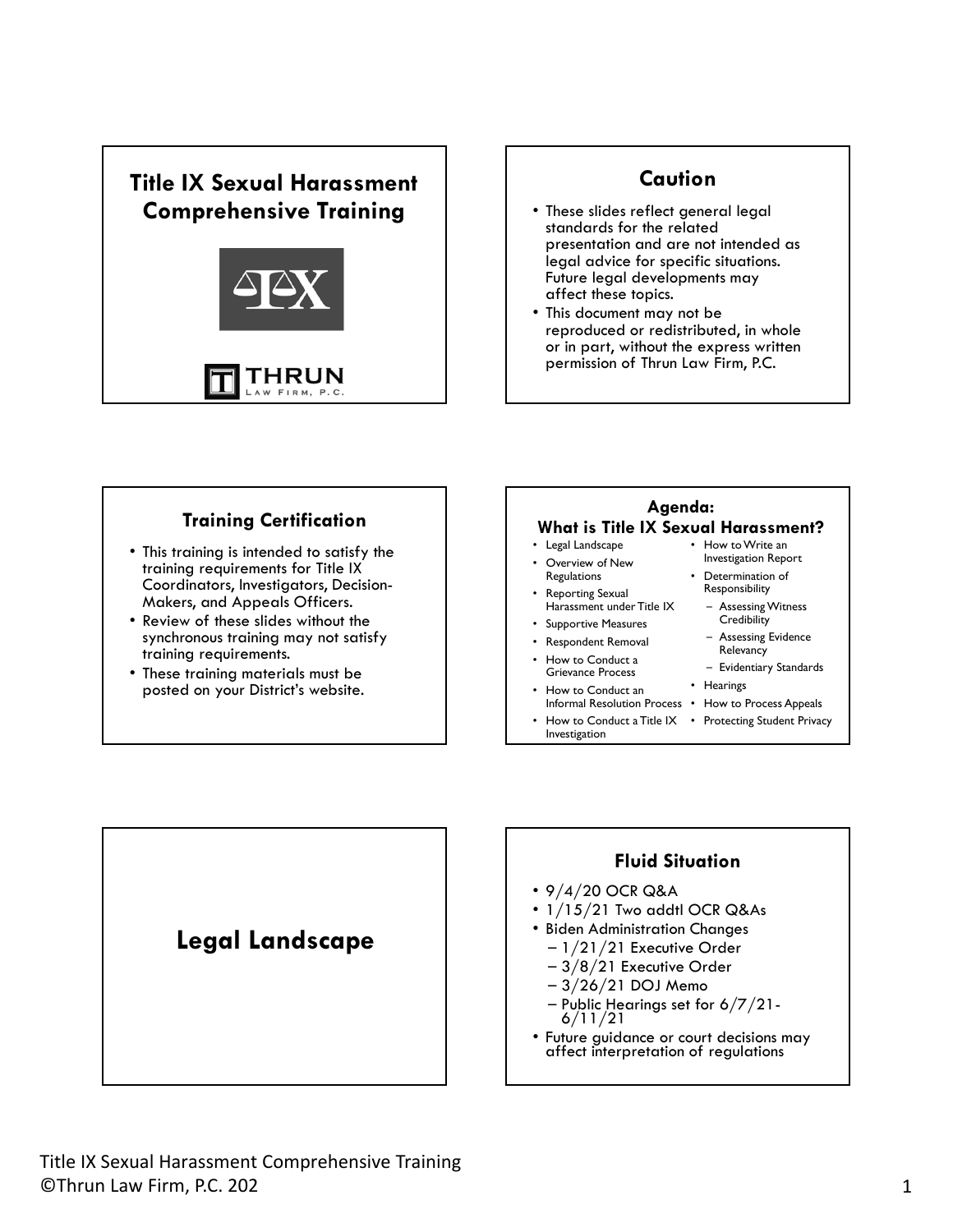

#### **Caution**  • These slides reflect general legal standards for the related presentation and are not intended as

legal advice for specific situations. Future legal developments may affect these topics. • This document may not be reproduced or redistributed, in whole or in part, without the express written permission of Thrun Law Firm, P.C.

#### **Training Certification**

- This training is intended to satisfy the training requirements for Title IX Coordinators, Investigators, Decision-Makers, and Appeals Officers.
- Review of these slides without the synchronous training may not satisfy training requirements.
- These training materials must be posted on your District's website.



Determination of Responsibility – Assessing Witness **Credibility** – Assessing Evidence **Relevancy** – Evidentiary Standards

• Hearings

- Overview of New **Regulations**
- Reporting Sexual Harassment under Title IX
- Supportive Measures
- Respondent Removal • How to Conduct a
- Grievance Process How to Conduct an
- Informal Resolution Process How to Process Appeals
- How to Conduct a Title IX Protecting Student Privacy Investigation



- 9/4/20 OCR Q&A
- 1/15/21 Two addtl OCR Q&As
- Biden Administration Changes
	- 1/21/21 Executive Order
	- 3/8/21 Executive Order
	- 3/26/21 DOJ Memo
	- Public Hearings set for 6/7/21- 6/11/21
- Future guidance or court decisions may affect interpretation of regulations

**Legal Landscape**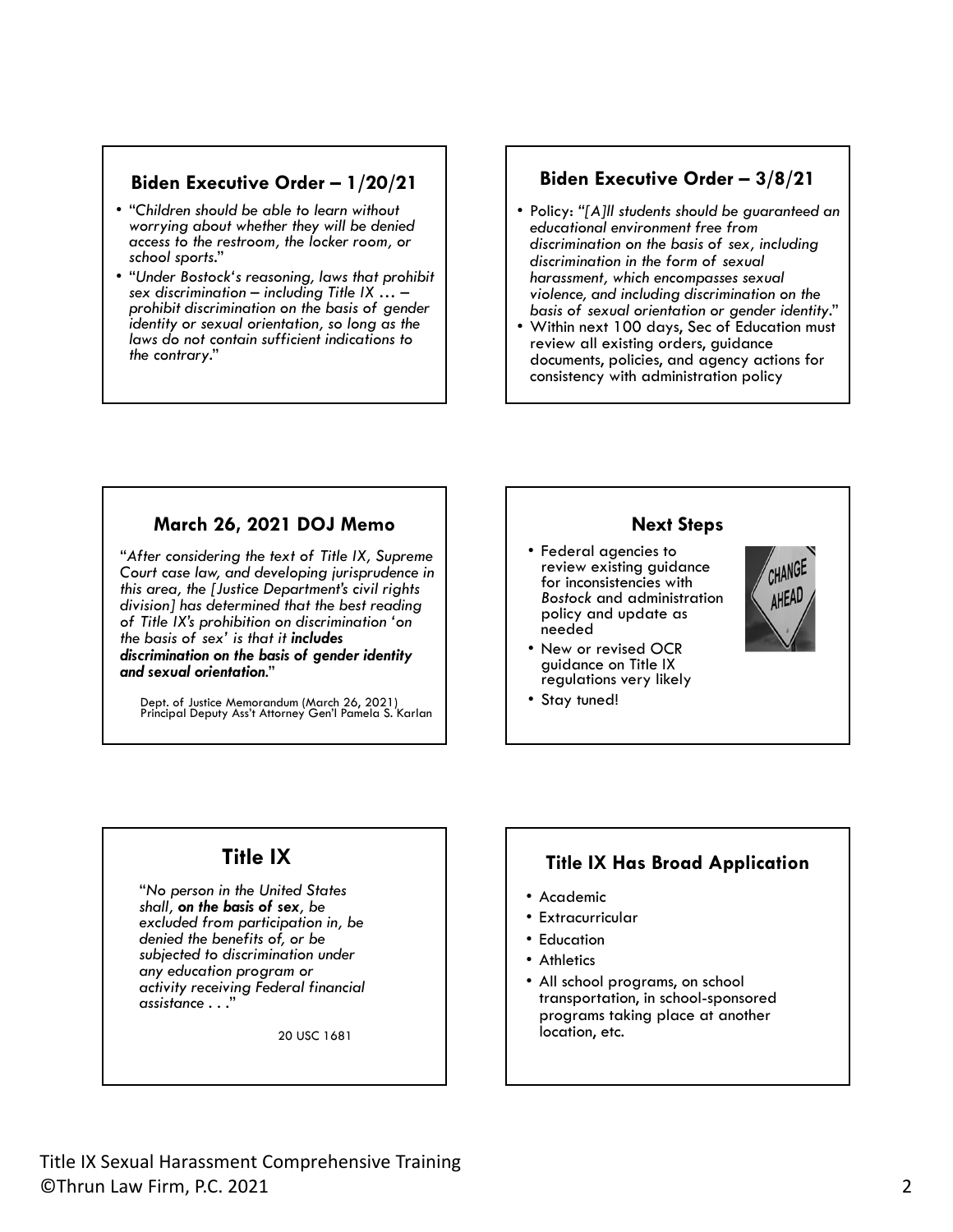#### **Biden Executive Order – 1/20/21**

- "*Children should be able to learn without worrying about whether they will be denied access to the restroom, the locker room, or school sports*."
- "*Under Bostock's reasoning, laws that prohibit prohibit discrimination on the basis of gender identity or sexual orientation, so long as the laws do not contain sufficient indications to the contrary*."

#### **Biden Executive Order – 3/8/21**

- Policy: *"[A]ll students should be guaranteed an educational environment free from discrimination on the basis of sex, including discrimination in the form of sexual harassment, which encompasses sexual violence, and including discrimination on the*
- Within next 100 days, Sec of Education must review all existing orders, guidance documents, policies, and agency actions for consistency with administration policy

#### **March 26, 2021 DOJ Memo**

 *of Title IX's prohibition on discrimination 'on*  "*After considering the text of Title IX, Supreme Court case law, and developing jurisprudence in this area, the [Justice Department's civil rights division] has determined that the best reading the basis of sex' is that it includes discrimination on the basis of gender identity and sexual orientation*."

Dept. of Justice Memorandum (March 26, 2021) Principal Deputy Ass't Attorney Gen'l Pamela S. Karlan

#### **Next Steps**

- Federal agencies to review existing guidance for inconsistencies with *Bostock* and administration policy and update as needed
- New or revised OCR guidance on Title IX regulations very likely
- Stay tuned!



#### **Title IX**

 *activity receiving Federal financial* "*No person in the United States shall, on the basis of sex, be excluded from participation in, be denied the benefits of, or be subjected to discrimination under any education program or assistance . . .*"

20 USC 1681

#### **Title IX Has Broad Application**

- Academic
- Extracurricular
- Education
- Athletics
- All school programs, on school transportation, in school-sponsored programs taking place at another location, etc.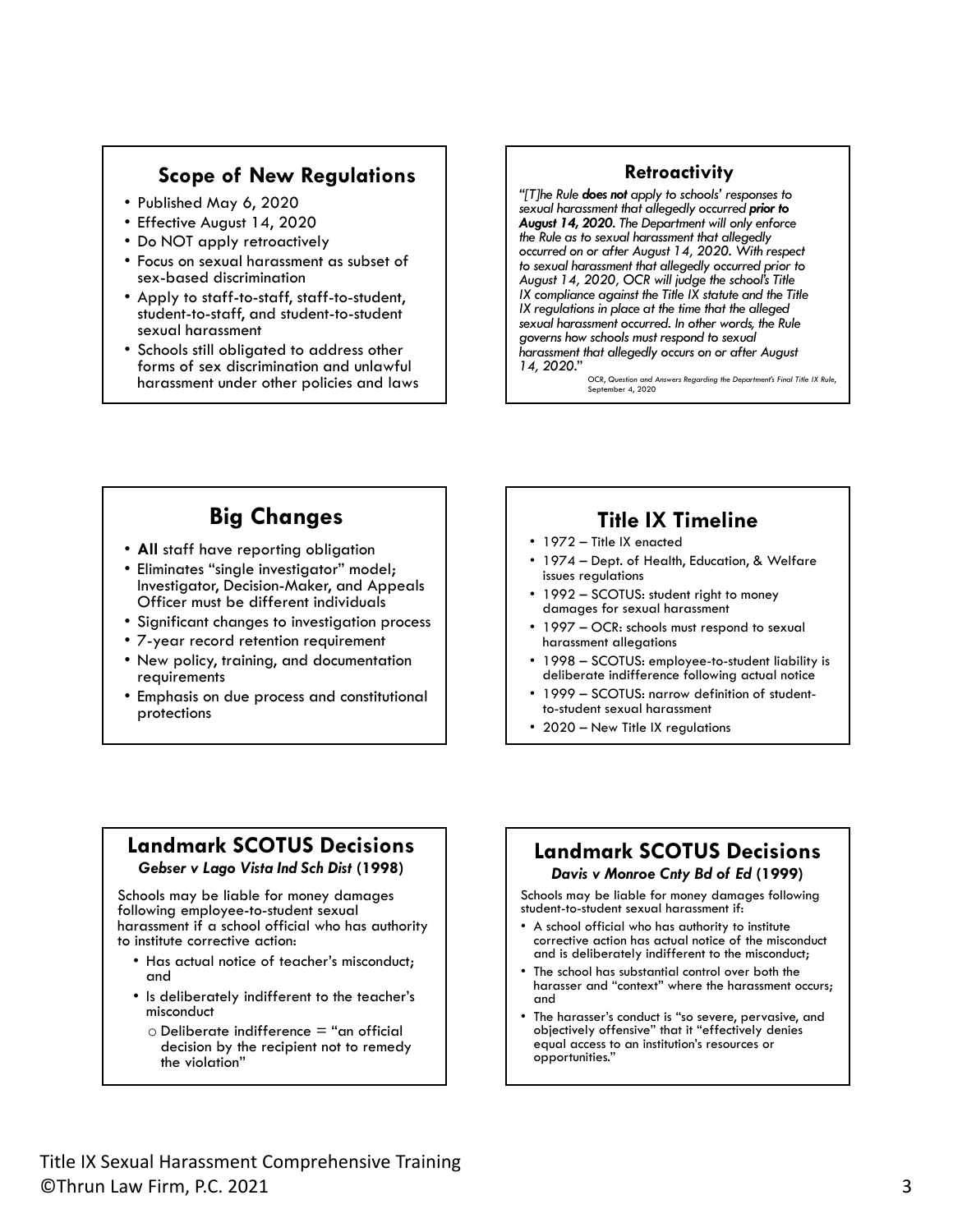#### **Scope of New Regulations**

- Published May 6, 2020
- Effective August 14, 2020
- Do NOT apply retroactively
- Focus on sexual harassment as subset of sex-based discrimination
- Apply to staff-to-staff, staff-to-student, student-to-staff, and student-to-student sexual harassment
- Schools still obligated to address other forms of sex discrimination and unlawful harassment under other policies and laws

#### **Retroactivity**

 *sexual harassment that allegedly occurred prior to IX regulations in place at the time that the alleged 14, 2020.*" OCR, *Question and Answers Regarding the Department's Final Title IX Rule*, *"[T]he Rule does not apply to schools' responses to August 14, 2020. The Department will only enforce the Rule as to sexual harassment that allegedly occurred on or after August 14, 2020. With respect to sexual harassment that allegedly occurred prior to August 14, 2020, OCR will judge the school's Title IX compliance against the Title IX statute and the Title sexual harassment occurred. In other words, the Rule governs how schools must respond to sexual harassment that allegedly occurs on or after August* 

September 4, 2020

## **Big Changes**

- **All** staff have reporting obligation
- Eliminates "single investigator" model; Investigator, Decision-Maker, and Appeals Officer must be different individuals
- Significant changes to investigation process
- 7-year record retention requirement
- New policy, training, and documentation requirements
- Emphasis on due process and constitutional protections

## **Title IX Timeline**

- 1972 Title IX enacted
- 1974 Dept. of Health, Education, & Welfare issues regulations
- 1992 SCOTUS: student right to money damages for sexual harassment
- 1997 OCR: schools must respond to sexual harassment allegations
- 1998 SCOTUS: employee-to-student liability is deliberate indifference following actual notice
- 1999 SCOTUS: narrow definition of studentto-student sexual harassment
- 2020 New Title IX regulations

#### **Landmark SCOTUS Decisions**  *Gebser v Lago Vista Ind Sch Dist* **(1998)**

Schools may be liable for money damages following employee-to-student sexual harassment if a school official who has authority to institute corrective action:

- Has actual notice of teacher's misconduct; and
- Is deliberately indifferent to the teacher's misconduct
	- $\circ$  Deliberate indifference = "an official decision by the recipient not to remedy the violation"

#### **Landmark SCOTUS Decisions**  *Davis v Monroe Cnty Bd of Ed* **(1999)**

Schools may be liable for money damages following student-to-student sexual harassment if:

- A school official who has authority to institute corrective action has actual notice of the misconduct and is deliberately indifferent to the misconduct;
- The school has substantial control over both the harasser and "context" where the harassment occurs; and
- The harasser's conduct is "so severe, pervasive, and objectively offensive" that it "effectively denies equal access to an institution's resources or opportunities."

Title IX Sexual Harassment Comprehensive Training<br>©Thrun Law Firm, P.C. 2021 3 ©Thrun Law Firm, P.C. 2021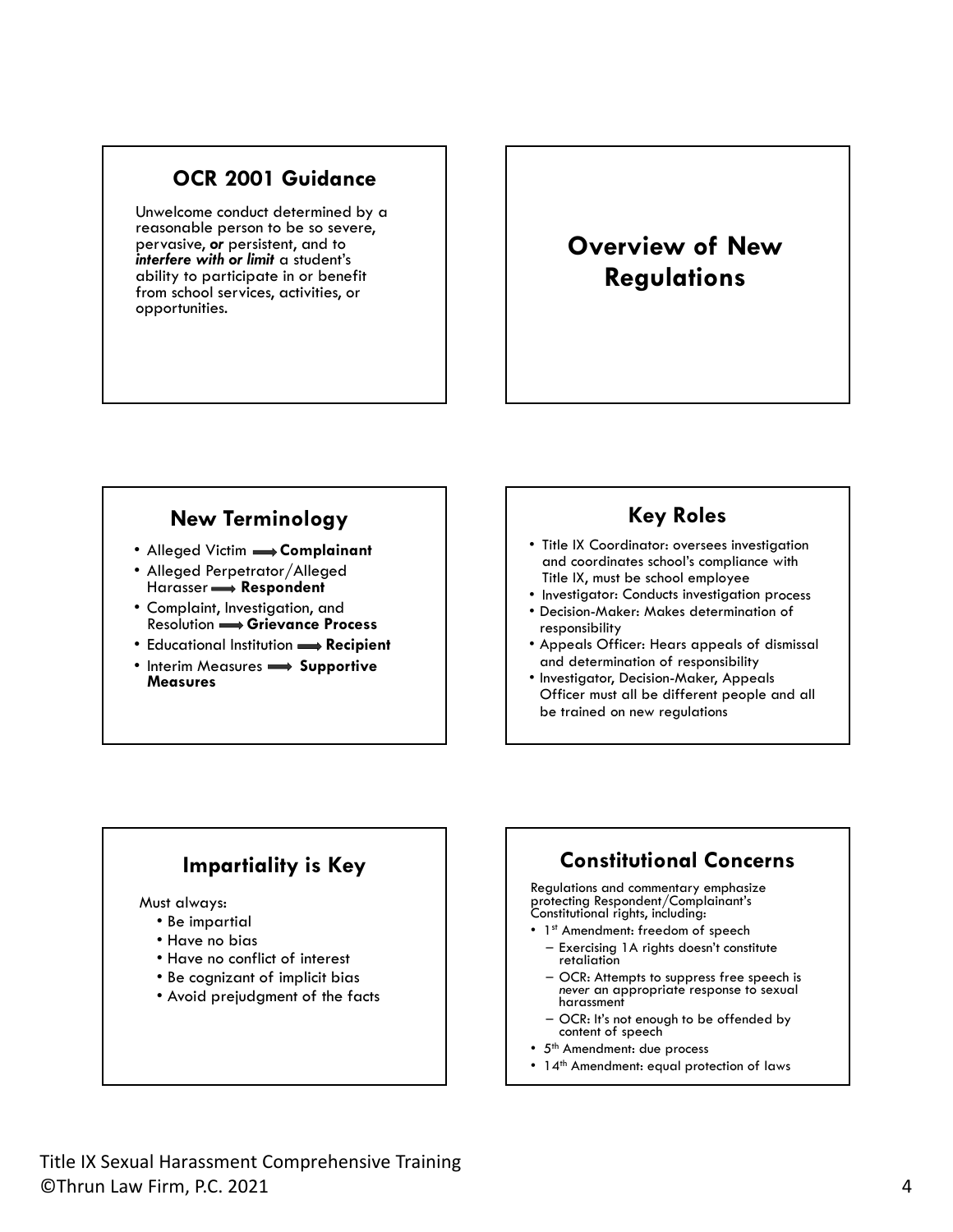#### **OCR 2001 Guidance**

Unwelcome conduct determined by a reasonable person to be so severe, pervasive, *or* persistent, and to *interfere with or limit* a student's ability to participate in or benefit from school services, activities, or opportunities.

## **Overview of New Regulations**

#### **New Terminology**

- Alleged Victim  **Complainant**
- Alleged Perpetrator/Alleged Harasser **Respondent**
- Complaint, Investigation, and Resolution **Grievance Process**
- Educational Institution  $\rightarrow$  **Recipient**
- **Interim Measures**  $\longrightarrow$  **Supportive Measures**

#### **Key Roles**

- Title IX Coordinator: oversees investigation and coordinates school's compliance with Title IX, must be school employee
- Investigator: Conducts investigation process
- Decision-Maker: Makes determination of responsibility
- Appeals Officer: Hears appeals of dismissal and determination of responsibility
- Investigator, Decision-Maker, Appeals Officer must all be different people and all be trained on new regulations

## **Impartiality is Key**

Must always:

- Be impartial
- Have no bias
- Have no conflict of interest
- Be cognizant of implicit bias
- Avoid prejudgment of the facts

#### **Constitutional Concerns**

Regulations and commentary emphasize protecting Respondent/Complainant's Constitutional rights, including:

- 1st Amendment: freedom of speech
	- Exercising 1A rights doesn't constitute retaliation
	- OCR: Attempts to suppress free speech is *never* an appropriate response to sexual harassment
	- OCR: It's not enough to be offended by content of speech
- 5<sup>th</sup> Amendment: due process
- 14<sup>th</sup> Amendment: equal protection of laws

Title IX Sexual Harassment Comprehensive Training<br>©Thrun Law Firm, P.C. 2021 4 ©Thrun Law Firm, P.C. 2021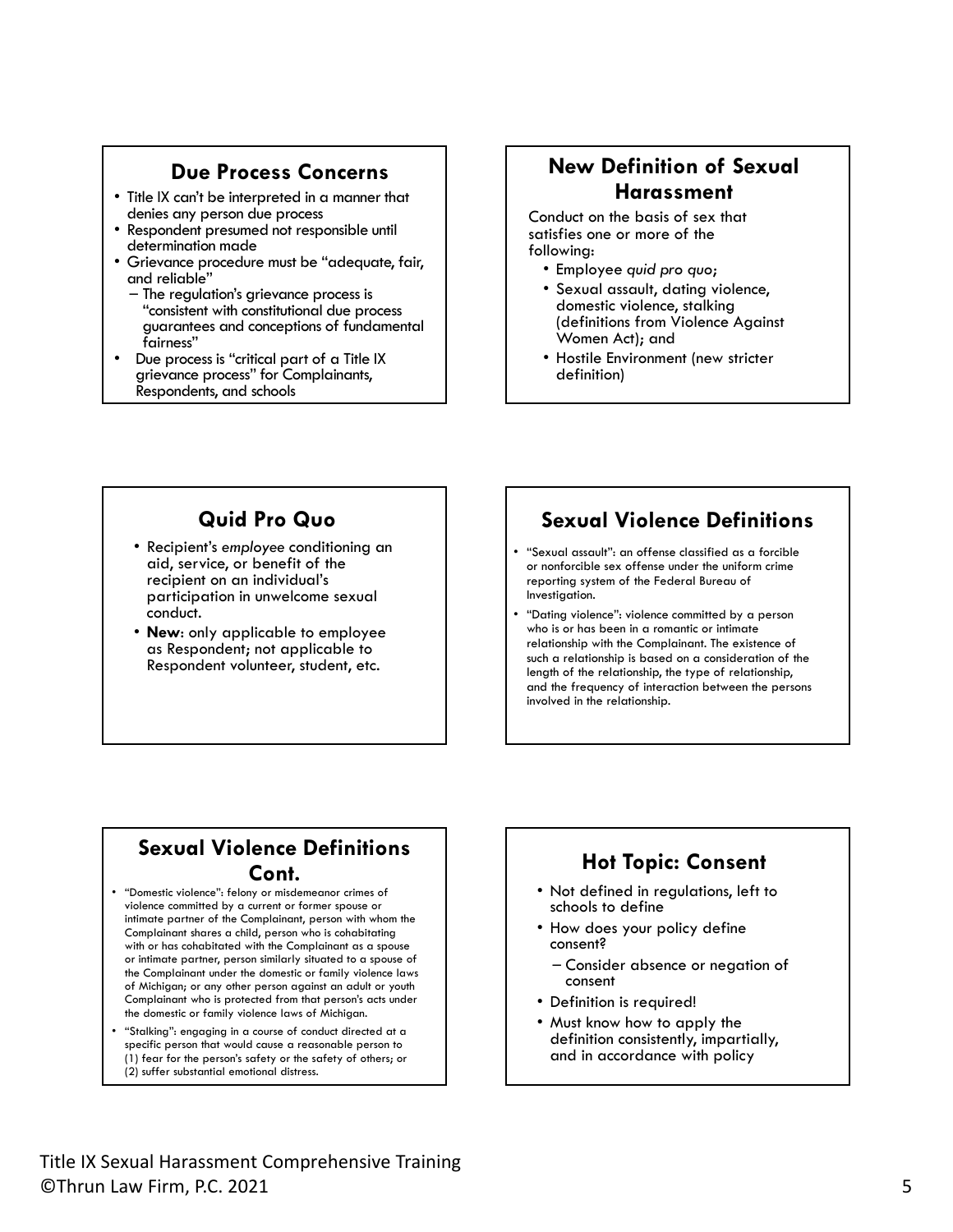#### **Due Process Concerns**

- Title IX can't be interpreted in a manner that
- Respondent presumed not responsible until<br>determination made
- Grievance procedure must be "adequate, fair,<br>and reliable"<br>— The regulation's grievance process is
	- "consistent with constitutional due process guarantees and conceptions of fundamental
- Due process is "critical part of a Title IX grievance process" for Complainants, Respondents, and schools

#### **New Definition of Sexual Harassment**

Conduct on the basis of sex that satisfies one or more of the following:

- Employee *quid pro quo*;
- Sexual assault, dating violence, domestic violence, stalking (definitions from Violence Against Women Act); and
- Hostile Environment (new stricter definition)

## **Quid Pro Quo**

- Recipient's *employee* conditioning an aid, service, or benefit of the recipient on an individual's participation in unwelcome sexual conduct.
- **New**: only applicable to employee as Respondent; not applicable to Respondent volunteer, student, etc.

#### **Sexual Violence Definitions**

- "Sexual assault": an offense classified as a forcible or nonforcible sex offense under the uniform crime reporting system of the Federal Bureau of Investigation.
- "Dating violence": violence committed by a person who is or has been in a romantic or intimate relationship with the Complainant. The existence of such a relationship is based on a consideration of the length of the relationship, the type of relationship, and the frequency of interaction between the persons involved in the relationship.

#### **Sexual Violence Definitions Cont.**

- "Domestic violence": felony or misdemeanor crimes of violence committed by a current or former spouse or intimate partner of the Complainant, person with whom the Complainant shares a child, person who is cohabitating with or has cohabitated with the Complainant as a spouse or intimate partner, person similarly situated to a spouse of the Complainant under the domestic or family violence laws of Michigan; or any other person against an adult or youth Complainant who is protected from that person's acts under the domestic or family violence laws of Michigan.
- "Stalking": engaging in a course of conduct directed at a specific person that would cause a reasonable person to (1) fear for the person's safety or the safety of others; or (2) suffer substantial emotional distress.

## **Hot Topic: Consent**

- Not defined in regulations, left to schools to define
- How does your policy define consent?
	- Consider absence or negation of consent
- Definition is required!
- Must know how to apply the definition consistently, impartially, and in accordance with policy

Title IX Sexual Harassment Comprehensive Training<br>©Thrun Law Firm, P.C. 2021 5 ©Thrun Law Firm, P.C. 2021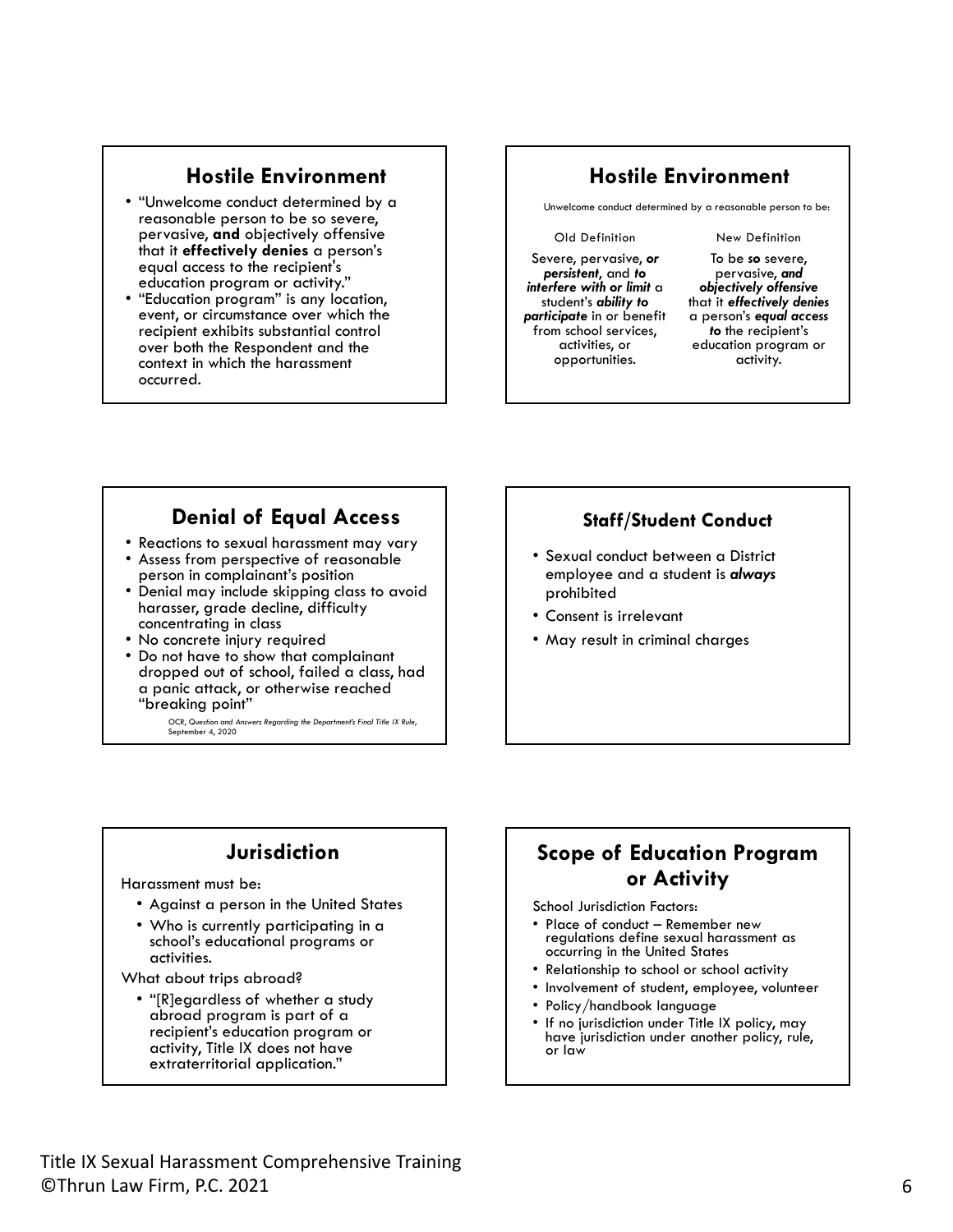#### **Hostile Environment**

- "Unwelcome conduct determined by a reasonable person to be so severe, pervasive, **and** objectively offensive that it **effectively denies** a person's equal access to the recipient's
- "Education program" is any location, event, or circumstance over which the recipient exhibits substantial control over both the Respondent and the context in which the harassment occurred.

#### **Hostile Environment**

Unwelcome conduct determined by a reasonable person to be:

#### Old Definition

Severe, pervasive, *or persistent*, and *to interfere with or limit* a student's *ability to participate* in or benefit from school services, activities, or opportunities.

#### New Definition

To be *so* severe, pervasive, *and objectively offensive*  that it *effectively denies*  a person's *equal access to* the recipient's education program or activity.

#### **Denial of Equal Access**

- 
- Reactions to sexual harassment may vary Assess from perspective of reasonable
- Denial may include skipping class to avoid harasser, grade decline, difficulty<br>concentrating in class
- 
- No concrete injury required<br>• Do not have to show that complainant dropped out of school, failed a class, had a panic attack, or otherwise reached "breaking point"

OCR, *Question and Answers Regarding the Department's Final Title IX Rule*, September 4, 2020

#### **Staff/Student Conduct**

- Sexual conduct between a District employee and a student is *always* prohibited
- Consent is irrelevant
- May result in criminal charges

## **Jurisdiction**

Harassment must be:

- Against a person in the United States
- Who is currently participating in a school's educational programs or activities.

What about trips abroad?

• "[R]egardless of whether a study abroad program is part of a recipient's education program or activity, Title IX does not have extraterritorial application."

#### **Scope of Education Program or Activity**

School Jurisdiction Factors:

- Place of conduct Remember new regulations define sexual harassment as occurring in the United States
- Relationship to school or school activity
- Involvement of student, employee, volunteer
- Policy/handbook language
- If no jurisdiction under Title IX policy, may have jurisdiction under another policy, rule, or law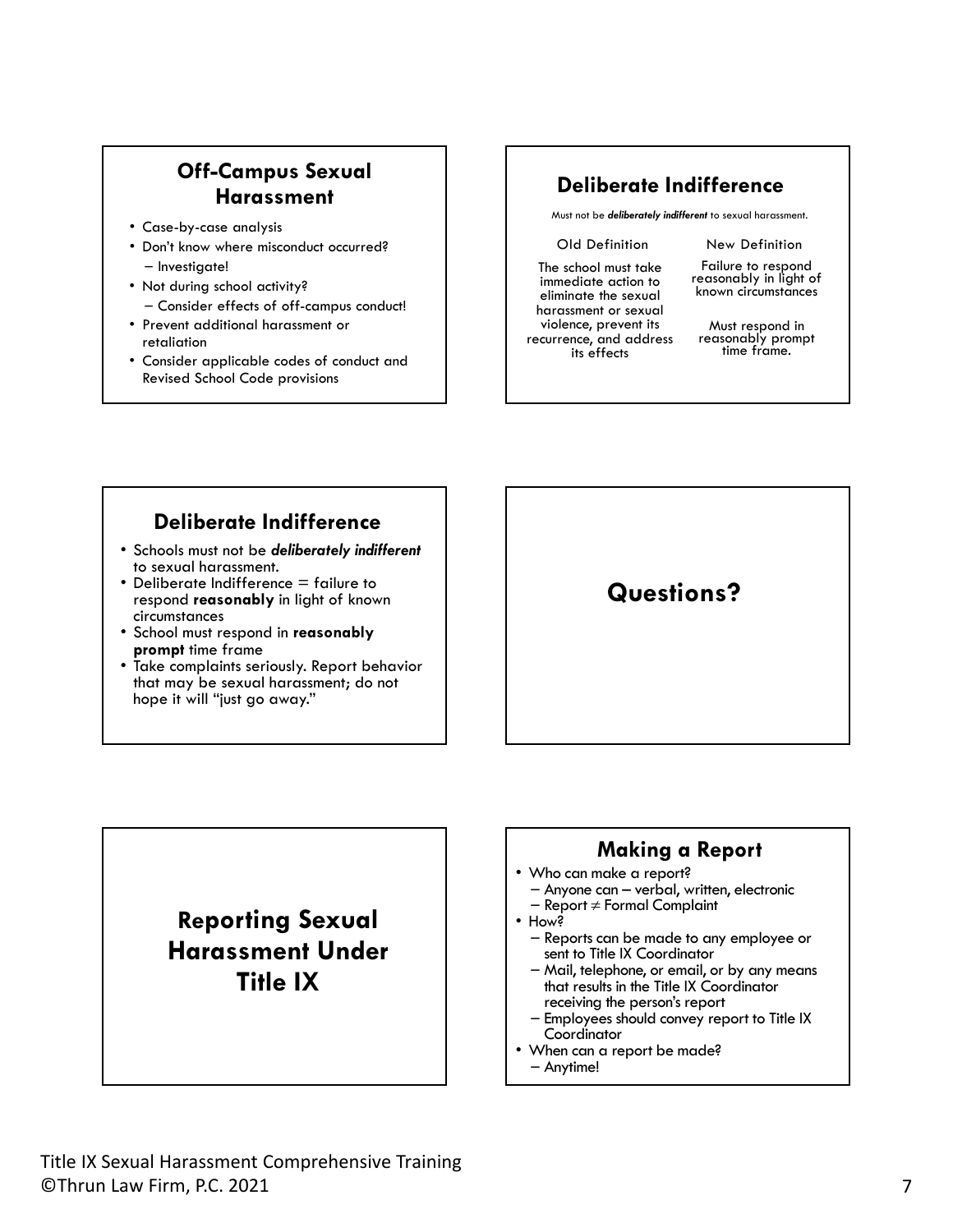## **Off-Campus Sexual Harassment**

- Case-by-case analysis
- Don't know where misconduct occurred? – Investigate!
- Not during school activity? – Consider effects of off-campus conduct!
- Prevent additional harassment or retaliation
- Consider applicable codes of conduct and Revised School Code provisions

#### **Deliberate Indifference**

Must not be *deliberately indifferent* to sexual harassment.

#### Old Definition

The school must take immediate action to eliminate the sexual harassment or sexual violence, prevent its recurrence, and address its effects

Failure to respond reasonably in light of known circumstances

New Definition

Must respond in reasonably prompt<br>time frame.

#### **Deliberate Indifference**

- Schools must not be *deliberately indifferent*
- Deliberate Indifference  $=$  failure to respond **reasonably** in light of known circumstances
- School must respond in **reasonably**
- Take complaints seriously. Report behavior that may be sexual harassment; do not hope it will "just go away."

**Questions?** 

## **Reporting Sexual Harassment Under Title IX**

#### **Making a Report**

- 
- Who can make a report?<br>- Anyone can verbal, written, electronic<br>- Report ≠ Formal Complaint<br>• How?
	-
- - Reports can be made to any employee or
- Mail, telephone, or email, or by any means that results in the Title IX Coordinator<br>receiving the person's report
- Employees should convey report to Title IX<br>Coordinator
- When can a report be made?<br>- Anytime!
	-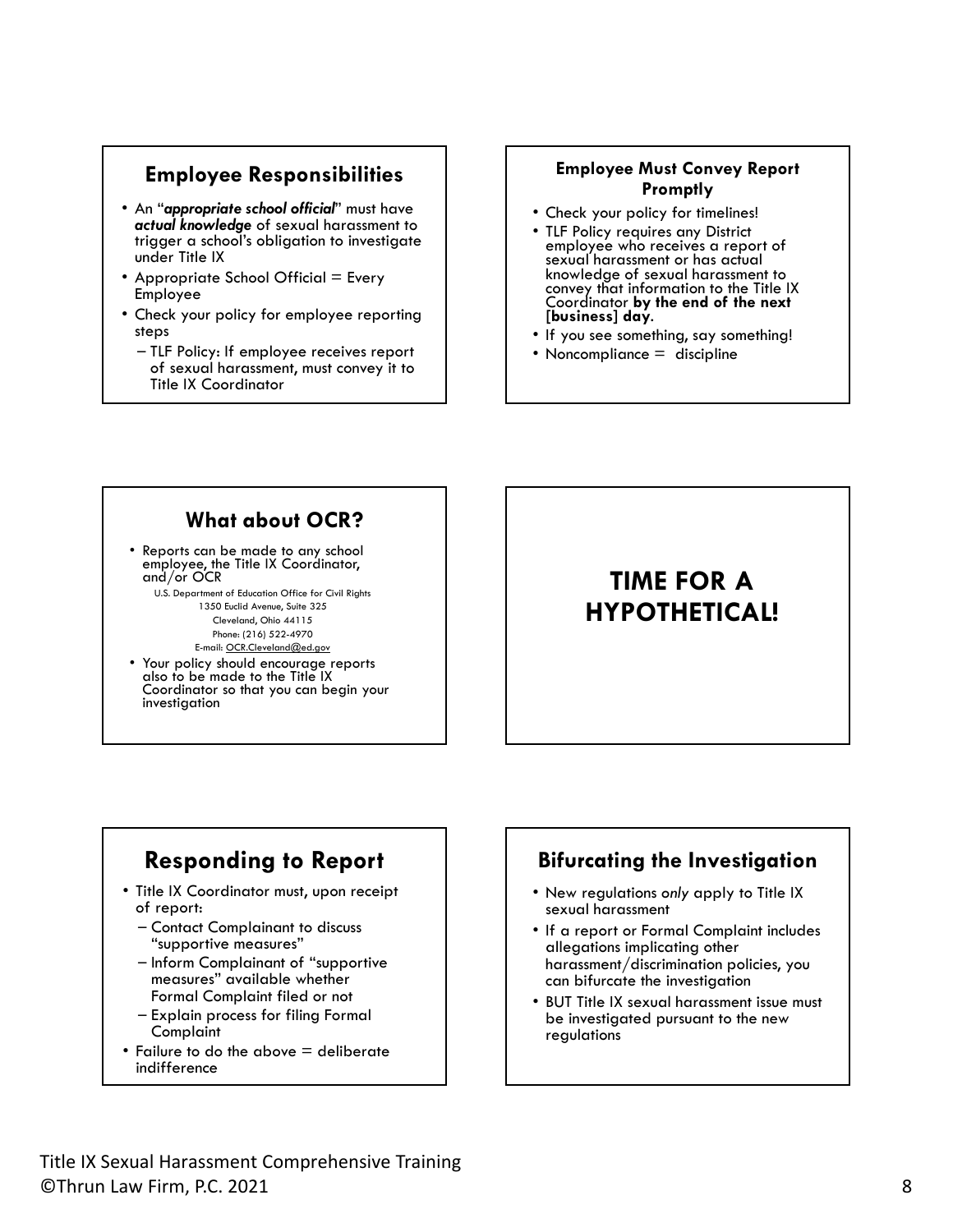#### **Employee Responsibilities**

- An "*appropriate school official*" must have *actual knowledge* of sexual harassment to trigger a school's obligation to investigate under Title IX
- Appropriate School Official  $=$  Every Employee
- Check your policy for employee reporting steps
	- TLF Policy: If employee receives report of sexual harassment, must convey it to Title IX Coordinator

#### **Employee Must Convey Report Promptly**

- Check your policy for timelines!
- TLF Policy requires any District sexual harassment or has actual knowledge of sexual harassment to convey that information to the Title IX Coordinator **by the end of the next [business] day**.
- If you see something, say something!
- Noncompliance = discipline

## **What about OCR?**

• Reports can be made to any school employee, the Title IX Coordinator, and/or OCR

U.S. Department of Education Office for Civil Rights 1350 Euclid Avenue, Suite 325 Cleveland, Ohio 44115 Phone: (216) 522-4970

E-mail: [OCR.Cleveland@ed.gov](mailto:OCR.Cleveland@ed.gov)

• Your policy should encourage reports also to be made to the Title IX Coordinator so that you can begin your investigation

## **TIME FOR A HYPOTHETICAL!**

## **Responding to Report**

- Title IX Coordinator must, upon receipt of report:
	- Contact Complainant to discuss "supportive measures"
	- Inform Complainant of "supportive measures" available whether Formal Complaint filed or not
	- Explain process for filing Formal Complaint
- Failure to do the above = deliberate indifference

#### **Bifurcating the Investigation**

- New regulations *only* apply to Title IX sexual harassment
- If a report or Formal Complaint includes allegations implicating other harassment/discrimination policies, you can bifurcate the investigation
- BUT Title IX sexual harassment issue must be investigated pursuant to the new regulations

Title IX Sexual Harassment Comprehensive Training<br>©Thrun Law Firm, P.C. 2021 8 ©Thrun Law Firm, P.C. 2021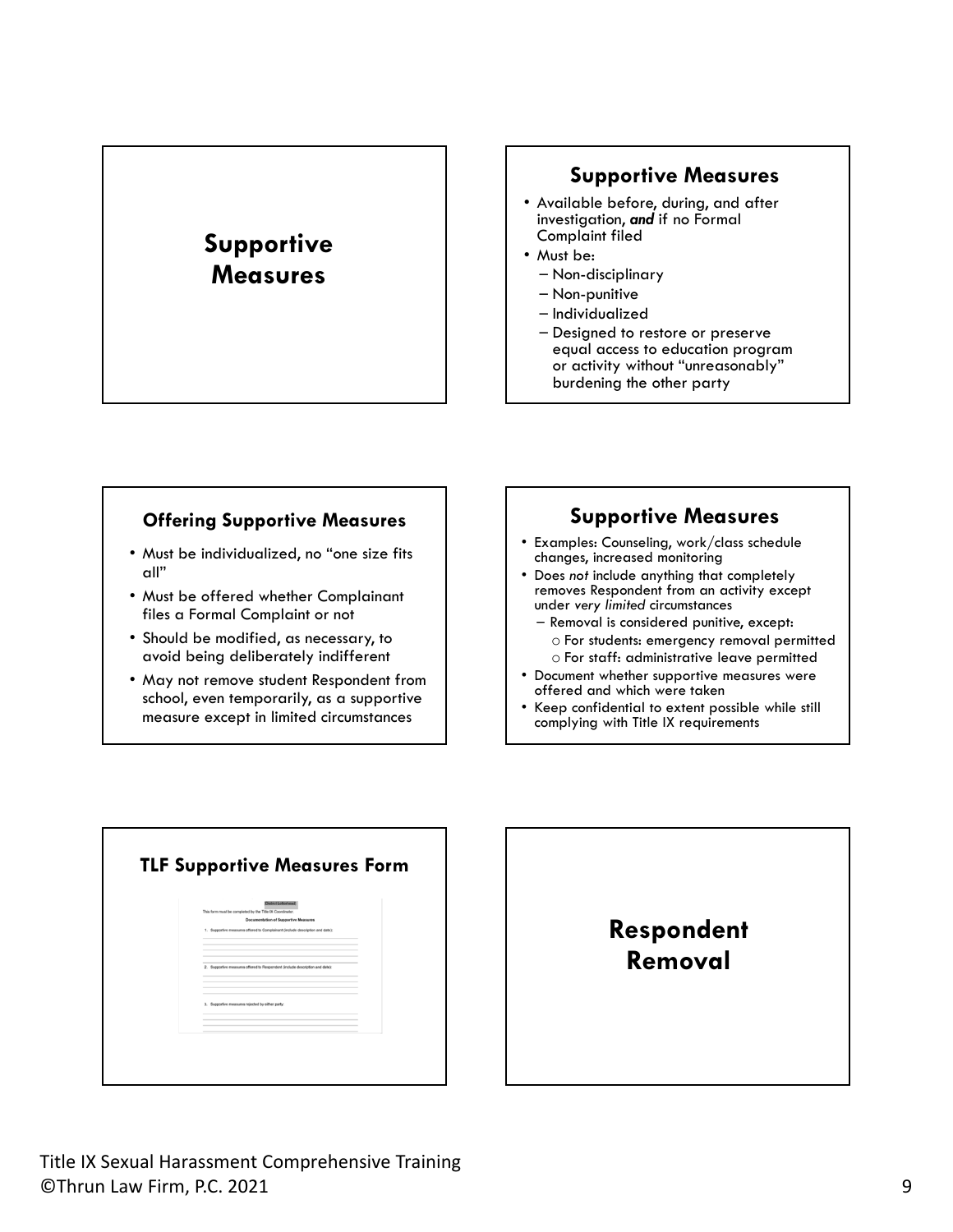## **Supportive Measures**

#### **Supportive Measures**

- Available before, during, and after investigation, *and* if no Formal Complaint filed
- Must be:
	- Non-disciplinary
	- Non-punitive
	- Individualized
	- Designed to restore or preserve equal access to education program or activity without "unreasonably" burdening the other party

#### **Offering Supportive Measures**

- Must be individualized, no "one size fits all"
- Must be offered whether Complainant files a Formal Complaint or not
- Should be modified, as necessary, to avoid being deliberately indifferent
- May not remove student Respondent from school, even temporarily, as a supportive measure except in limited circumstances

#### **Supportive Measures**

- Examples: Counseling, work/class schedule changes, increased monitoring
- Does *not* include anything that completely removes Respondent from an activity except under *very limited* circumstances
	- Removal is considered punitive, except: o For students: emergency removal permitted o For staff: administrative leave permitted
- Document whether supportive measures were offered and which were taken
- Keep confidential to extent possible while still complying with Title IX requirements

| District Letterhead<br>This form must be completed by the Title IX Coordinator.                                              |  |
|------------------------------------------------------------------------------------------------------------------------------|--|
| <b>Documentation of Supportive Measures</b><br>1. Supportive measures offered to Complainant (include description and date): |  |
|                                                                                                                              |  |
|                                                                                                                              |  |
| 2. Supportive measures offered to Respondent (include description and date):                                                 |  |
|                                                                                                                              |  |
|                                                                                                                              |  |
| 3. Supportive measures rejected by either party:                                                                             |  |
|                                                                                                                              |  |

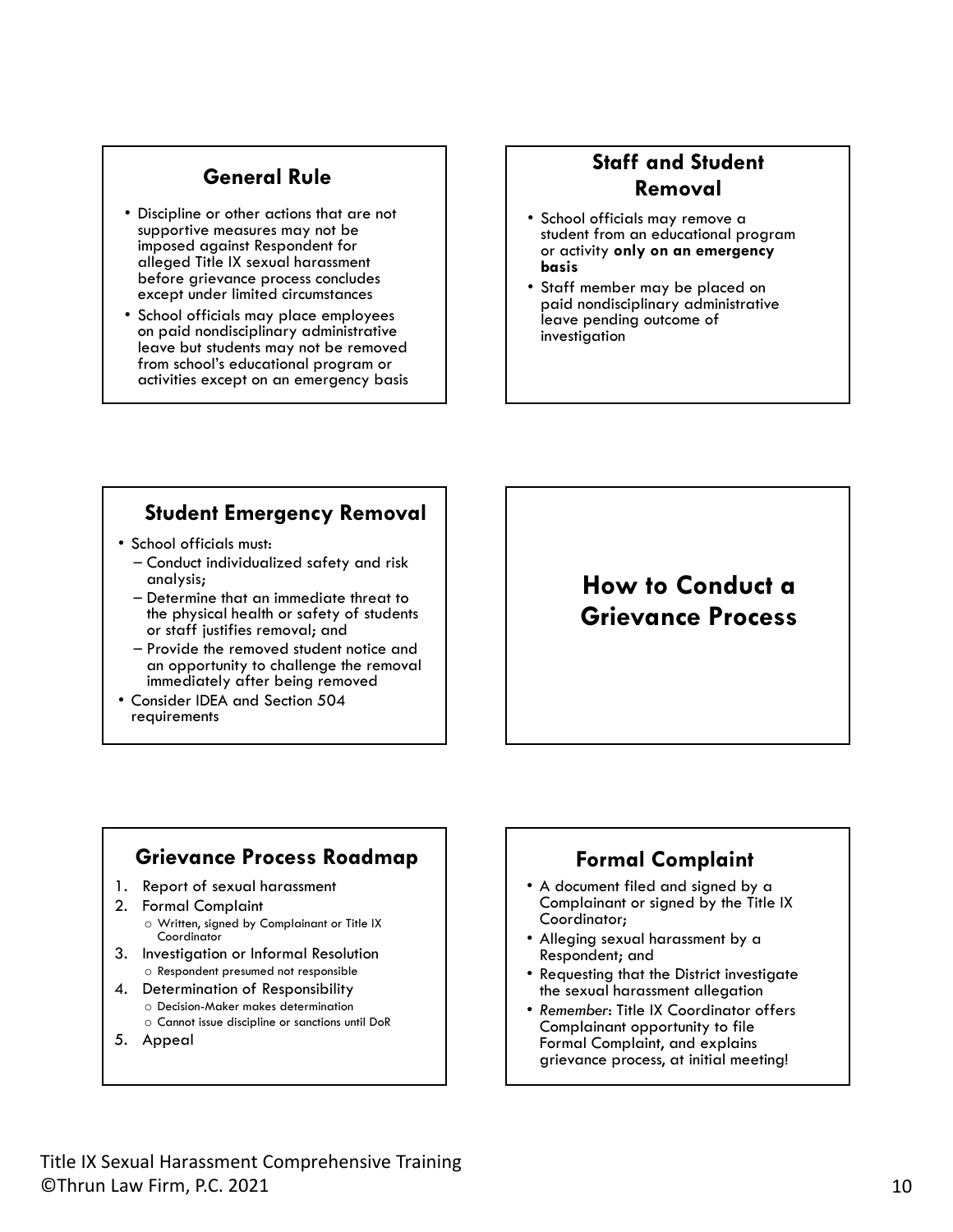#### **General Rule**

- Discipline or other actions that are not supportive measures may not be imposed against Respondent for alleged Title IX sexual harassment before grievance process concludes except under limited circumstances
- School officials may place employees on paid nondisciplinary administrative leave but students may not be removed from school's educational program or activities except on an emergency basis

#### **Staff and Student Removal**

- School officials may remove a student from an educational program or activity **only on an emergency basis**
- Staff member may be placed on paid nondisciplinary administrative leave pending outcome of investigation

#### **Student Emergency Removal**

- School officials must:
	- Conduct individualized safety and risk analysis;
	- Determine that an immediate threat to the physical health or safety of students or staff justifies removal; and
	- Provide the removed student notice and an opportunity to challenge the removal immediately after being removed
- Consider IDEA and Section 504 requirements

## **How to Conduct a Grievance Process**

#### **Grievance Process Roadmap**

- 1. Report of sexual harassment
- 2. Formal Complaint o Written, signed by Complainant or Title IX **Coordinator**
- 3. Investigation or Informal Resolution o Respondent presumed not responsible
- 4. Determination of Responsibility
	- o Decision-Maker makes determination
	- o Cannot issue discipline or sanctions until DoR
- 5. Appeal

#### **Formal Complaint**

- A document filed and signed by a Complainant or signed by the Title IX Coordinator;
- Alleging sexual harassment by a Respondent; and
- Requesting that the District investigate the sexual harassment allegation
- *Remember*: Title IX Coordinator offers Complainant opportunity to file Formal Complaint, and explains grievance process, at initial meeting!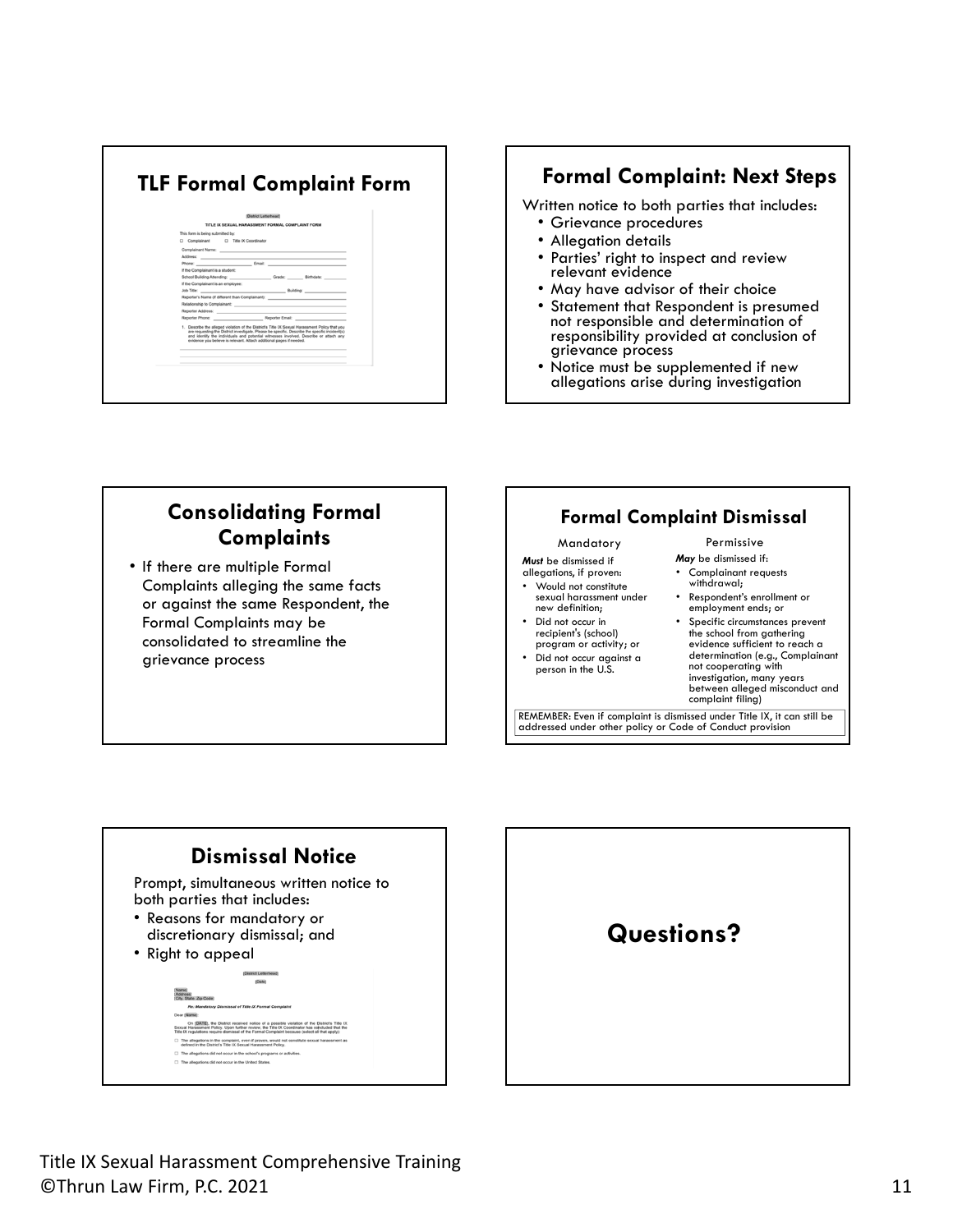# **TLF Formal Complaint Form Formal Complaint: Next Steps**  Distri<br>TITLE IX SEXUAL HARASSS This form is being submitted by:<br>
Complainant C Title IX Coordinator<br>
Complainant Name: Building .<br>Ts Title IX Sexual<br>ta ha snarific Des

Written notice to both parties that includes:

- Grievance procedures
- 
- Allegation details Parties' right to inspect and review relevant evidence
- May have advisor of their choice
- Statement that Respondent is presumed not responsible and determination of responsibility provided at conclusion of grievance process
- Notice must be supplemented if new allegations arise during investigation

## **Consolidating Formal Complaints**

• If there are multiple Formal Complaints alleging the same facts or against the same Respondent, the Formal Complaints may be consolidated to streamline the grievance process

#### **Formal Complaint Dismissal**

#### Permissive

- *Must* be dismissed if allegations, if proven:
- Would not constitute sexual harassment under new definition;

Mandatory

- Did not occur in recipient's (school) program or activity; or
- Did not occur against a person in the U.S.
- *May* be dismissed if:
- Complainant requests withdrawal;
- Respondent's enrollment or employment ends; or
- Specific circumstances prevent the school from gathering<br>evidence sufficient to reach a determination (e.g., Complainant not cooperating with investigation, many years between alleged misconduct and complaint filing)

REMEMBER: Even if complaint is dismissed under Title IX, it can still be addressed under other policy or Code of Conduct provision



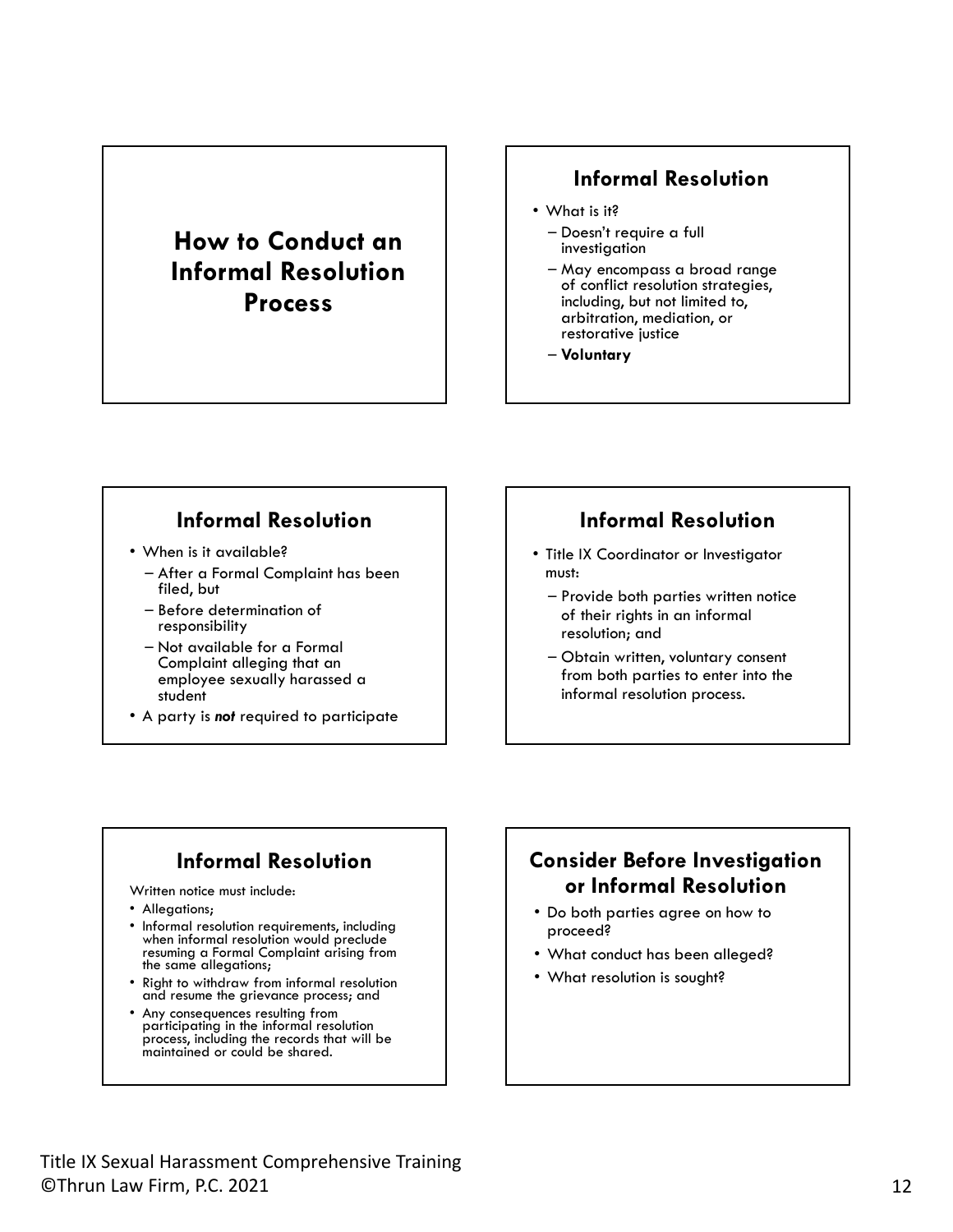## **How to Conduct an Informal Resolution Process**

#### **Informal Resolution**

- What is it?
	- Doesn't require a full investigation
	- May encompass a broad range of conflict resolution strategies, including, but not limited to, arbitration, mediation, or restorative justice
	- **Voluntary**

#### **Informal Resolution**

- When is it available?
	- After a Formal Complaint has been filed, but
	- Before determination of responsibility
	- Not available for a Formal Complaint alleging that an employee sexually harassed a student
- A party is *not* required to participate

#### **Informal Resolution**

- Title IX Coordinator or Investigator must:
	- Provide both parties written notice of their rights in an informal resolution; and
	- Obtain written, voluntary consent from both parties to enter into the informal resolution process.

## **Informal Resolution**

Written notice must include:

- Allegations;
- Informal resolution requirements, including when informal resolution would preclude resuming a Formal Complaint arising from the same allegations;
- Right to withdraw from informal resolution and resume the grievance process; and
- Any consequences resulting from participating in the informal resolution process, including the records that will be maintained or could be shared.

## **Consider Before Investigation or Informal Resolution**

- Do both parties agree on how to proceed?
- What conduct has been alleged?
- What resolution is sought?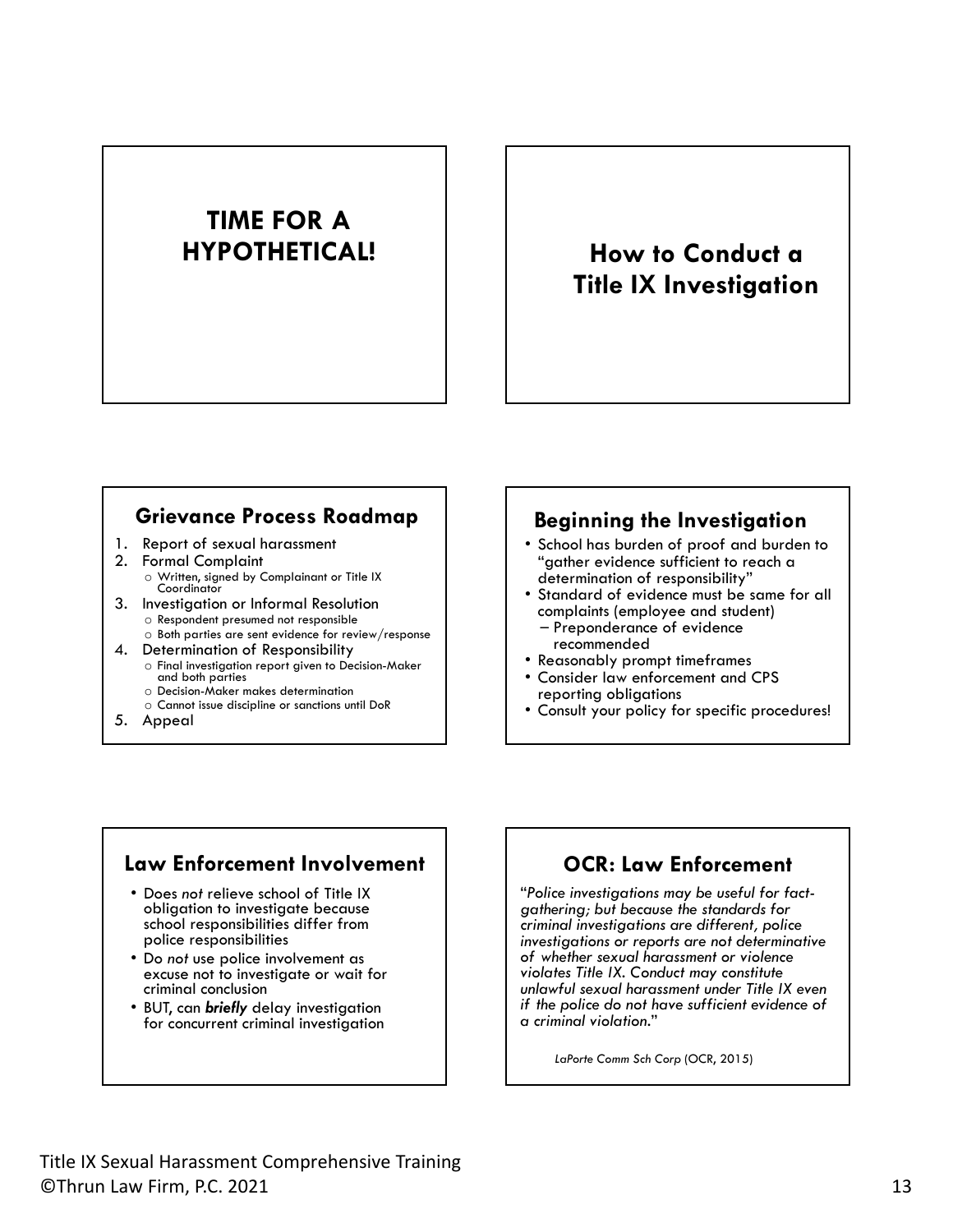# **TIME FOR A**

## **HYPOTHETICAL! | | How to Conduct a Title IX Investigation**

#### **Grievance Process Roadmap**

- 1. Report of sexual harassment
- 2. Formal Complaint o Written, signed by Complainant or Title IX Coordinator
- 3. Investigation or Informal Resolution
	- o Respondent presumed not responsible o Both parties are sent evidence for review/response
- 4. Determination of Responsibility
	- $\circ$  Final investigation report given to Decision-Maker and both parties
	- o Decision-Maker makes determination
	- o Cannot issue discipline or sanctions until DoR
- 5. Appeal

#### **Beginning the Investigation**

- School has burden of proof and burden to "gather evidence sufficient to reach a determination of responsibility" • Standard of evidence must be same for all
- 
- complaints (employee and student) Preponderance of evidence
- 
- Reasonably prompt timeframes<br>• Consider law enforcement and CPS<br>• reporting obligations
- Consult your policy for specific procedures!

#### **Law Enforcement Involvement**

- Does *not* relieve school of Title IX obligation to investigate because school responsibilities differ from police responsibilities
- Do *not* use police involvement as excuse not to investigate or wait for criminal conclusion
- BUT, can *briefly* delay investigation for concurrent criminal investigation

#### **OCR: Law Enforcement**

"*Police investigations may be useful for factgathering; but because the standards for criminal investigations are different, police investigations or reports are not determinative of whether sexual harassment or violence violates Title IX. Conduct may constitute unlawful sexual harassment under Title IX even if the police do not have sufficient evidence of a criminal violation.*"

*LaPorte Comm Sch Corp* (OCR, 2015)

Title IX Sexual Harassment Comprehensive Training<br>©Thrun Law Firm, P.C. 2021 13 ©Thrun Law Firm, P.C. 2021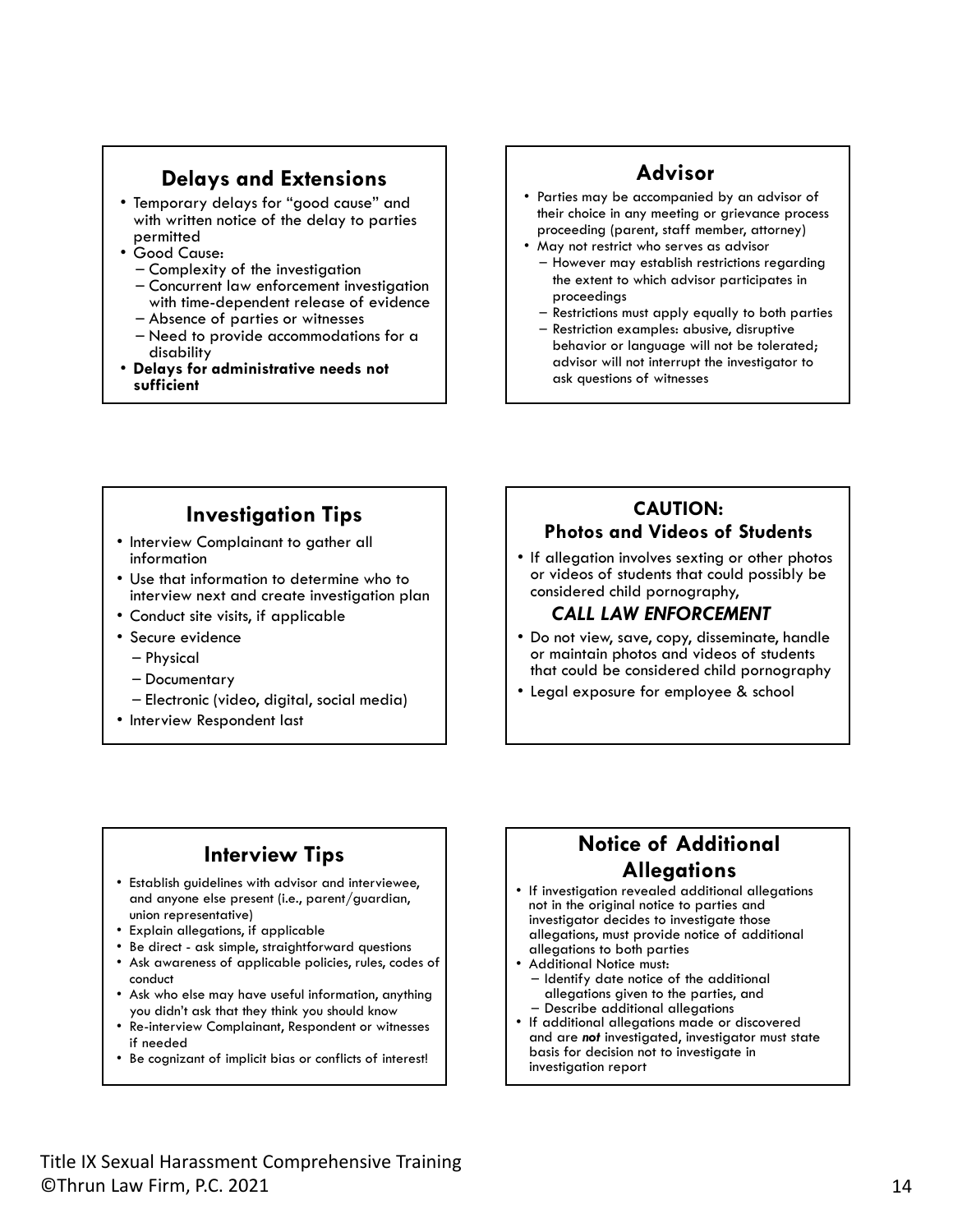#### **Delays and Extensions**

- Temporary delays for "good cause" and with written notice of the delay to parties<br>permitted
- 
- Good Cause:<br>- Complexity of the investigation
	- Complexity of the investigation Concurrent law enforcement investigation
	-
- Absence of parties or witnesses<br>– Need to provide accommodations for a disability • **Delays for administrative needs not**
- **sufficient**

#### **Advisor**

- Parties may be accompanied by an advisor of their choice in any meeting or grievance process proceeding (parent, staff member, attorney)
- May not restrict who serves as advisor
	- However may establish restrictions regarding the extent to which advisor participates in proceedings
	- Restrictions must apply equally to both parties
	- Restriction examples: abusive, disruptive behavior or language will not be tolerated; advisor will not interrupt the investigator to ask questions of witnesses

#### **Investigation Tips**

- Interview Complainant to gather all information
- Use that information to determine who to interview next and create investigation plan
- Conduct site visits, if applicable
- Secure evidence
	- Physical
	- Documentary
	- Electronic (video, digital, social media)
- Interview Respondent last

#### **CAUTION: Photos and Videos of Students**

• If allegation involves sexting or other photos or videos of students that could possibly be considered child pornography,

#### *CALL LAW ENFORCEMENT*

- Do not view, save, copy, disseminate, handle or maintain photos and videos of students that could be considered child pornography
- Legal exposure for employee & school

## **Interview Tips**

- Establish guidelines with advisor and interviewee, and anyone else present (i.e., parent/guardian, union representative)
- Explain allegations, if applicable
- Be direct ask simple, straightforward questions
- Ask awareness of applicable policies, rules, codes of conduct
- Ask who else may have useful information, anything you didn't ask that they think you should know
- Re-interview Complainant, Respondent or witnesses if needed
- Be cognizant of implicit bias or conflicts of interest!

#### **Notice of Additional Allegations**

- If investigation revealed additional allegations not in the original notice to parties and investigator decides to investigate those allegations, must provide notice of additional
- 
- Additional Notice must:<br>- Identify date notice of the additional<br>allegations given to the parties, and
- Describe additional allegations<br>• If additional allegations made or discovered and are *not* investigated, investigator must state basis for decision not to investigate in investigation report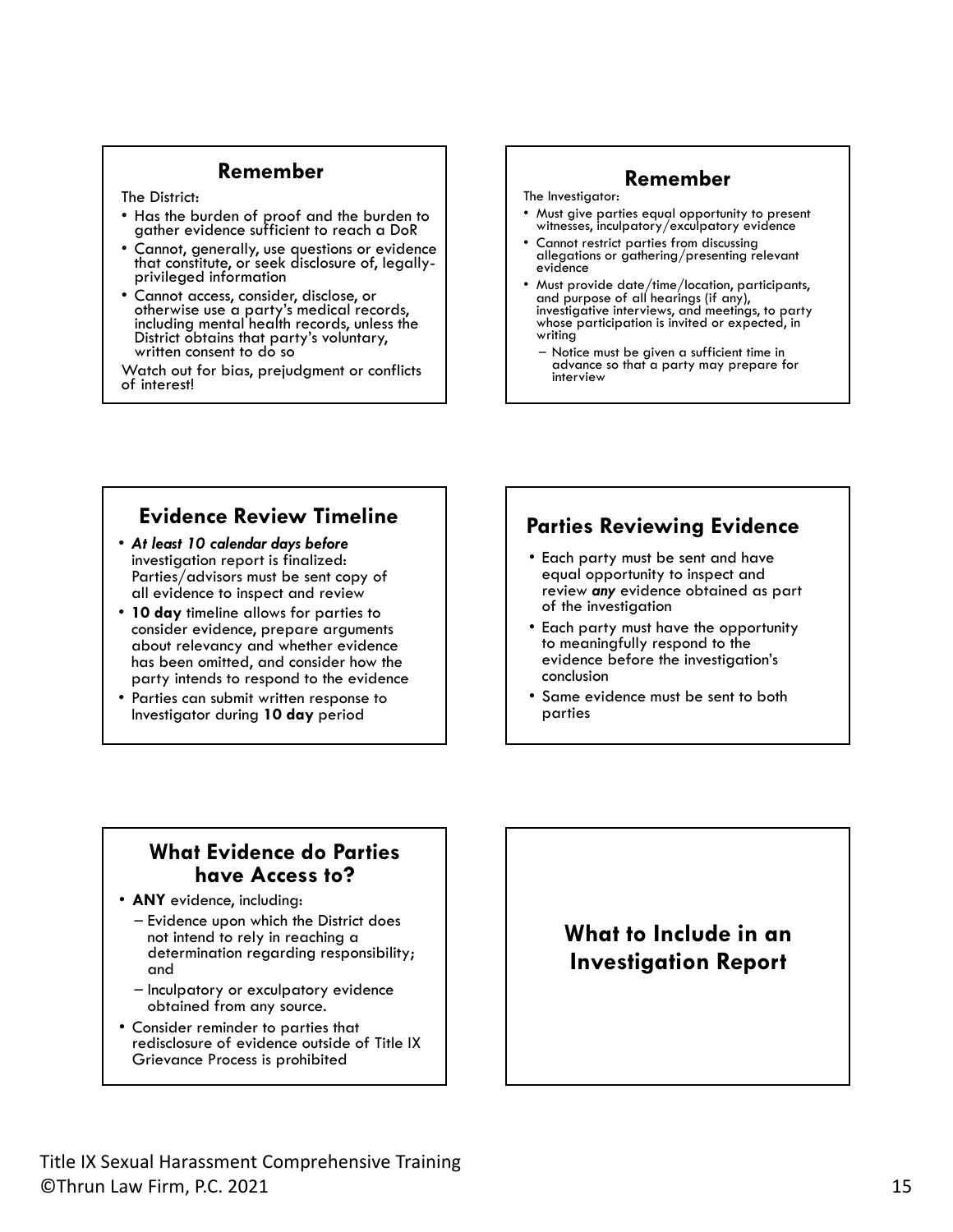#### **Remember**

The District:

- Has the burden of proof and the burden to gather evidence sufficient to reach a DoR
- Cannot, generally, use questions or evidence that constitute, or seek disclosure of, legally-<br>privileged information
- Cannot access, consider, disclose, or otherwise use a party's medical records, including mental health records, unless the District obtains that party's voluntary, written consent to do so

Watch out for bias, prejudgment or conflicts of interest!

#### **Remember**

- The Investigator: • Must give parties equal opportunity to present witnesses, inculpatory/exculpatory evidence
- Cannot restrict parties from discussing allegations or gathering/presenting relevant evidence
- Must provide date/time/location, participants, and purpose of all hearings (if any), investigative interviews, and meetings, to party whose participation is invited or expected, in writing
	- Notice must be given a sufficient time in advance so that a party may prepare for interview

#### **Evidence Review Timeline**

- *At least 10 calendar days before* Parties/advisors must be sent copy of all evidence to inspect and review
- **10 day** timeline allows for parties to consider evidence, prepare arguments about relevancy and whether evidence has been omitted, and consider how the party intends to respond to the evidence
- Parties can submit written response to Investigator during **10 day** period

#### **Parties Reviewing Evidence**

- Each party must be sent and have equal opportunity to inspect and review *any* evidence obtained as part of the investigation
- Each party must have the opportunity to meaningfully respond to the evidence before the investigation's conclusion
- Same evidence must be sent to both parties

#### **What Evidence do Parties have Access to?**

• **ANY** evidence, including:

- Evidence upon which the District does not intend to rely in reaching a determination regarding responsibility; and
- Inculpatory or exculpatory evidence obtained from any source.
- Consider reminder to parties that redisclosure of evidence outside of Title IX Grievance Process is prohibited

**What to Include in an Investigation Report**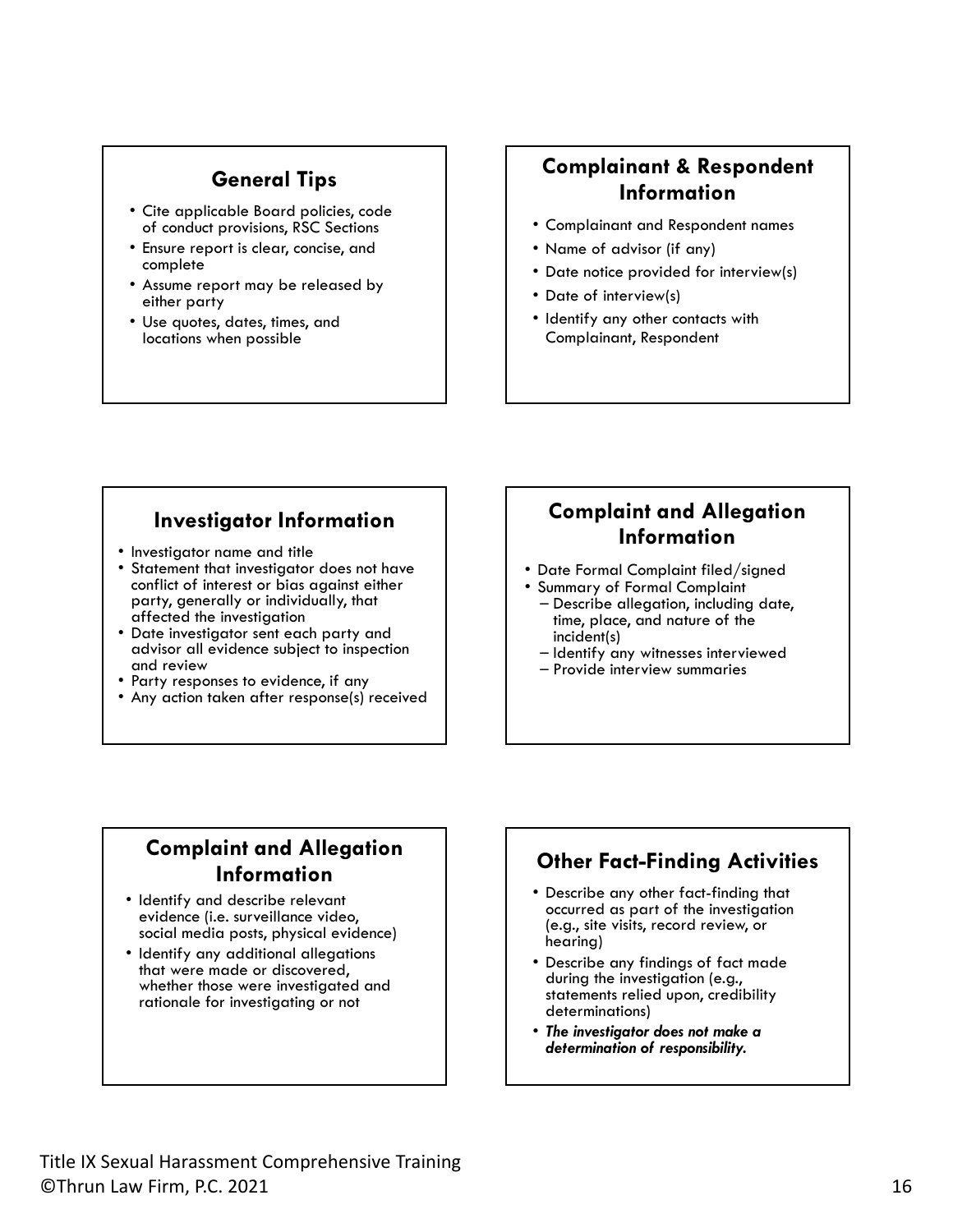#### **General Tips**

- Cite applicable Board policies, code of conduct provisions, RSC Sections
- Ensure report is clear, concise, and complete
- Assume report may be released by either party
- Use quotes, dates, times, and locations when possible

## **Complainant & Respondent Information**

- Complainant and Respondent names
- Name of advisor (if any)
- Date notice provided for interview(s)
- Date of interview(s)
- Identify any other contacts with Complainant, Respondent

#### **Investigator Information**

- 
- Investigator name and title Statement that investigator does not have conflict of interest or bias against either party, generally or individually, that<br>affected the investigation
- Date investigator sent each party and advisor all evidence subject to inspection
- Party responses to evidence, if any<br>• Any action taken after response(s) received
- 

## **Complaint and Allegation Information**

- Date Formal Complaint filed/signed Summary of Formal Complaint Describe allegation, including date,
- 
- time, place, and nature of the incident(s)
- Identify any witnesses interviewed Provide interview summaries
- 

#### **Complaint and Allegation Information**

- Identify and describe relevant social media posts, physical evidence)
- Identify any additional allegations that were made or discovered, whether those were investigated and rationale for investigating or not

#### **Other Fact-Finding Activities**

- Describe any other fact-finding that occurred as part of the investigation (e.g., site visits, record review, or hearing)
- Describe any findings of fact made statements relied upon, credibility determinations)
- *The investigator does not make a determination of responsibility.*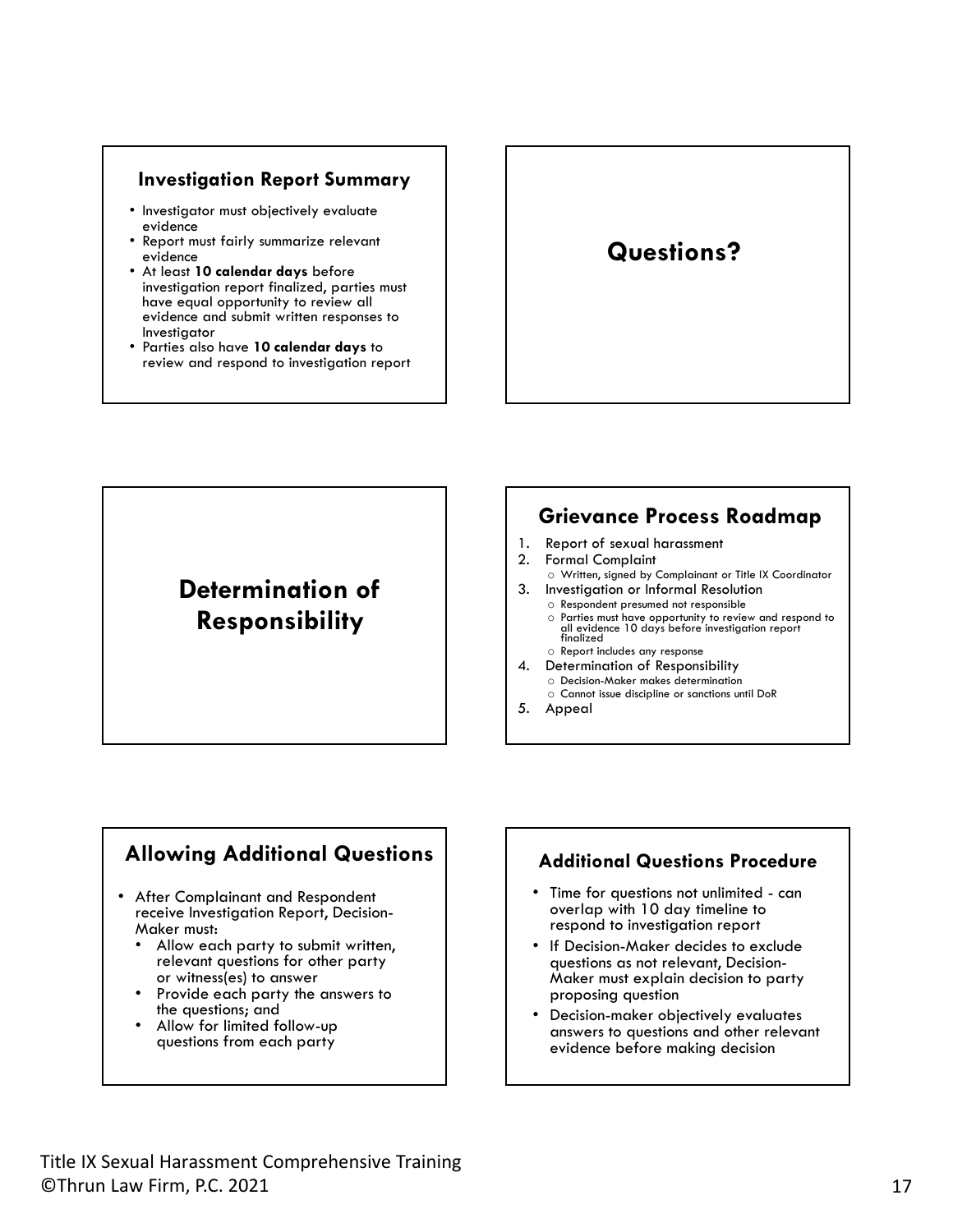#### **Investigation Report Summary**

- Investigator must objectively evaluate evidence
- Report must fairly summarize relevant evidence<br>• At least 10 calendar days before
- investigation report finalized, parties must have equal opportunity to review all evidence and submit written responses to Investigator • Parties also have **10 calendar days** to
- review and respond to investigation report

## **Questions?**

## **Determination of Responsibility**

#### **Grievance Process Roadmap**

- 1. Report of sexual harassment
- 2. Formal Complaint
- o Written, signed by Complainant or Title IX Coordinator 3. Investigation or Informal Resolution
	- o Respondent presumed not responsible o Parties must have opportunity to review and respond to all evidence 10 days before investigation report finalized
	- o Report includes any response
- 4. Determination of Responsibility o Decision-Maker makes determination
	- o Cannot issue discipline or sanctions until DoR
- 5. Appeal

#### **Allowing Additional Questions**

- After Complainant and Respondent receive Investigation Report, Decision-
	- Allow each party to submit written, relevant questions for other party<br>or witness(es) to answer
	- Provide each party the answers to the questions; and
	- Allow for limited follow-up questions from each party

#### **Additional Questions Procedure**

- Time for questions not unlimited can overlap with 10 day timeline to respond to investigation report
- If Decision-Maker decides to exclude questions as not relevant, Decision-Maker must explain decision to party proposing question
- Decision-maker objectively evaluates answers to questions and other relevant evidence before making decision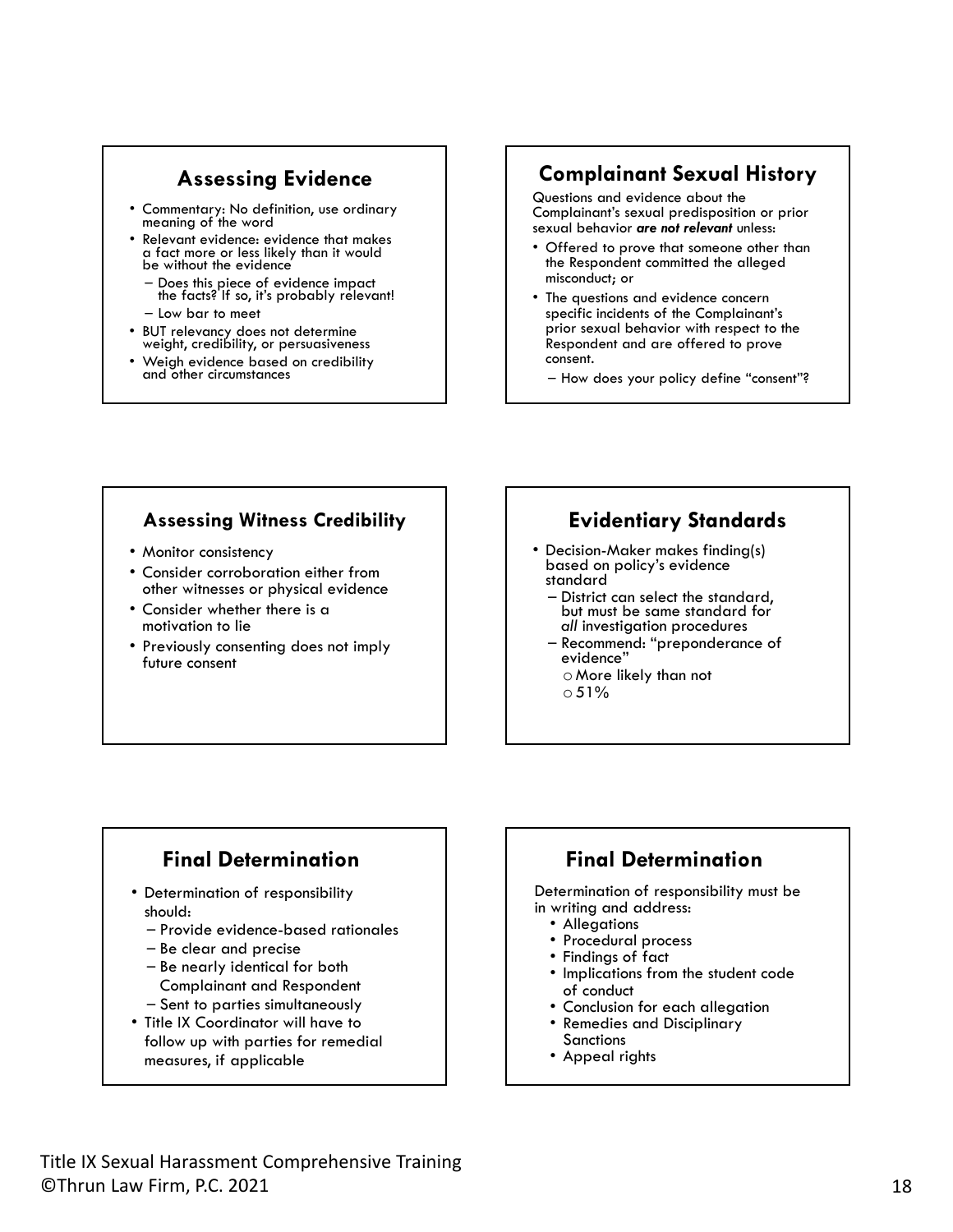## **Assessing Evidence**

- Commentary: No definition, use ordinary meaning of the word
- Relevant evidence: evidence that makes a fact more or less likely than it would be without the evidence
	- Does this piece of evidence impact the facts? If so, it's probably relevant!
	- Low bar to meet
- BUT relevancy does not determine weight, credibility, or persuasiveness
- Weigh evidence based on credibility and other circumstances

#### **Complainant Sexual History**

Questions and evidence about the Complainant's sexual predisposition or prior sexual behavior *are not relevant* unless:

- Offered to prove that someone other than the Respondent committed the alleged misconduct; or
- The questions and evidence concern specific incidents of the Complainant's prior sexual behavior with respect to the Respondent and are offered to prove consent.
	- How does your policy define "consent"?

#### **Assessing Witness Credibility**

- Monitor consistency
- Consider corroboration either from other witnesses or physical evidence
- Consider whether there is a motivation to lie
- Previously consenting does not imply future consent

#### **Evidentiary Standards**

- Decision-Maker makes finding(s) based on policy's evidence standard
	- District can select the standard, but must be same standard for *all* investigation procedures
	- Recommend: "preponderance of evidence"
		- o More likely than not  $0.51%$
		-

## **Final Determination**

- Determination of responsibility should:
	- Provide evidence-based rationales
	- Be clear and precise
	- Be nearly identical for both Complainant and Respondent – Sent to parties simultaneously
- Title IX Coordinator will have to follow up with parties for remedial measures, if applicable

#### **Final Determination**

Determination of responsibility must be in writing and address:<br>• Allegations

- 
- 
- 
- Procedural process<br>• Findings of fact<br>• Implications from the student code<br>of conduct
- Conclusion for each allegation<br>• Remedies and Disciplinary
- **Sanctions**
- Appeal rights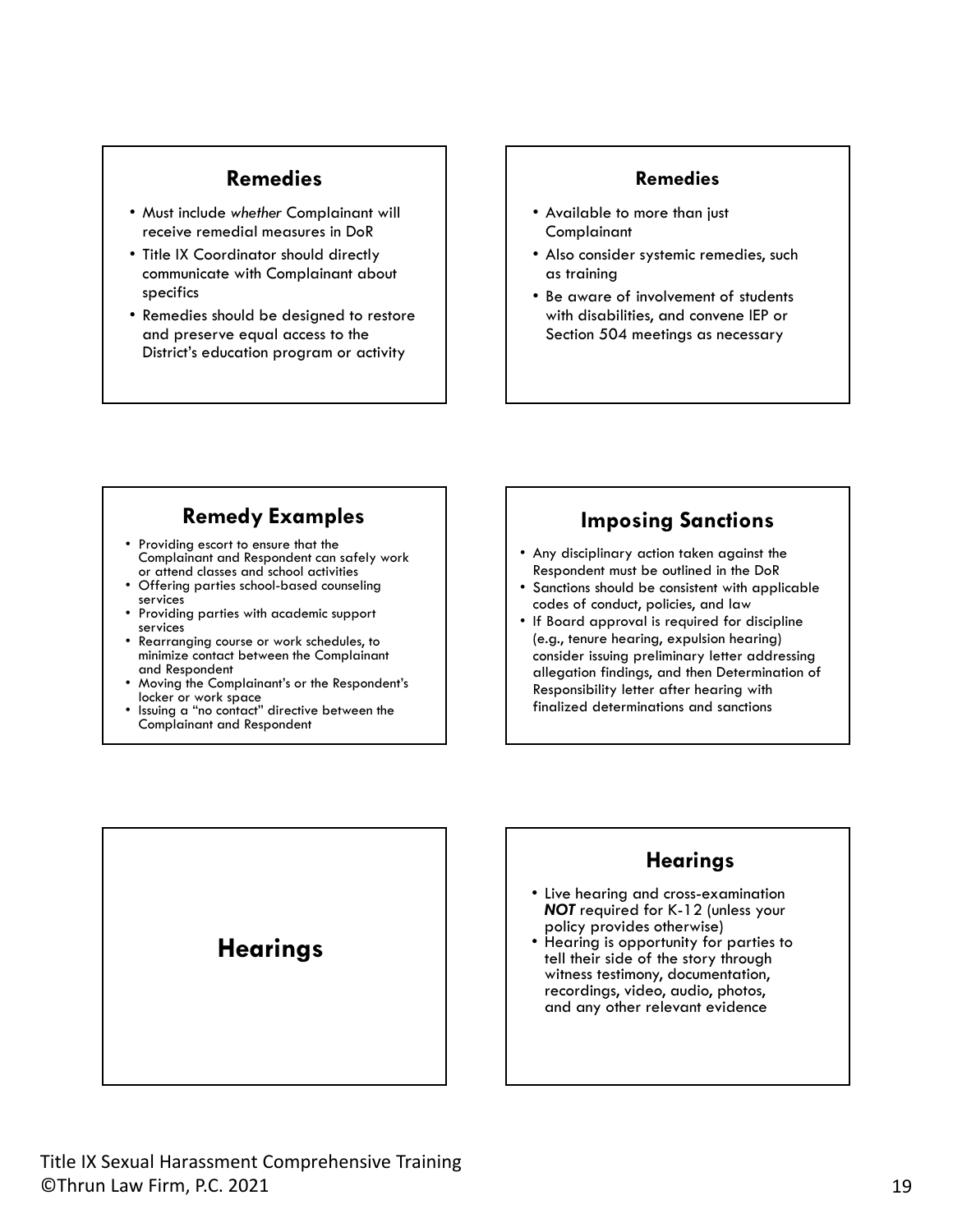#### **Remedies**

- Must include *whether* Complainant will receive remedial measures in DoR
- Title IX Coordinator should directly communicate with Complainant about specifics
- Remedies should be designed to restore and preserve equal access to the District's education program or activity

#### **Remedies**

- Available to more than just **Complainant**
- Also consider systemic remedies, such as training
- Be aware of involvement of students with disabilities, and convene IEP or Section 504 meetings as necessary

## **Remedy Examples**

- Providing escort to ensure that the Complainant and Respondent can safely work<br>or attend classes and school activities
- Offering parties school-based counseling<br>services<br>• Providing parties with academic support
- services Rearranging course or work schedules, to
- minimize contact between the Complainant
- Moving the Complainant's or the Respondent's locker or work space<br>
Issuing a "no contact" directive between the
- Complainant and Respondent

#### **Imposing Sanctions**

- Any disciplinary action taken against the Respondent must be outlined in the DoR
- Sanctions should be consistent with applicable codes of conduct, policies, and law
- If Board approval is required for discipline (e.g., tenure hearing, expulsion hearing) consider issuing preliminary letter addressing allegation findings, and then Determination of Responsibility letter after hearing with finalized determinations and sanctions



- Live hearing and cross-examination *NOT* required for K-12 (unless your policy provides otherwise)
- Hearing is opportunity for parties to tell their side of the story through witness testimony, documentation, recordings, video, audio, photos, and any other relevant evidence



**Hearings**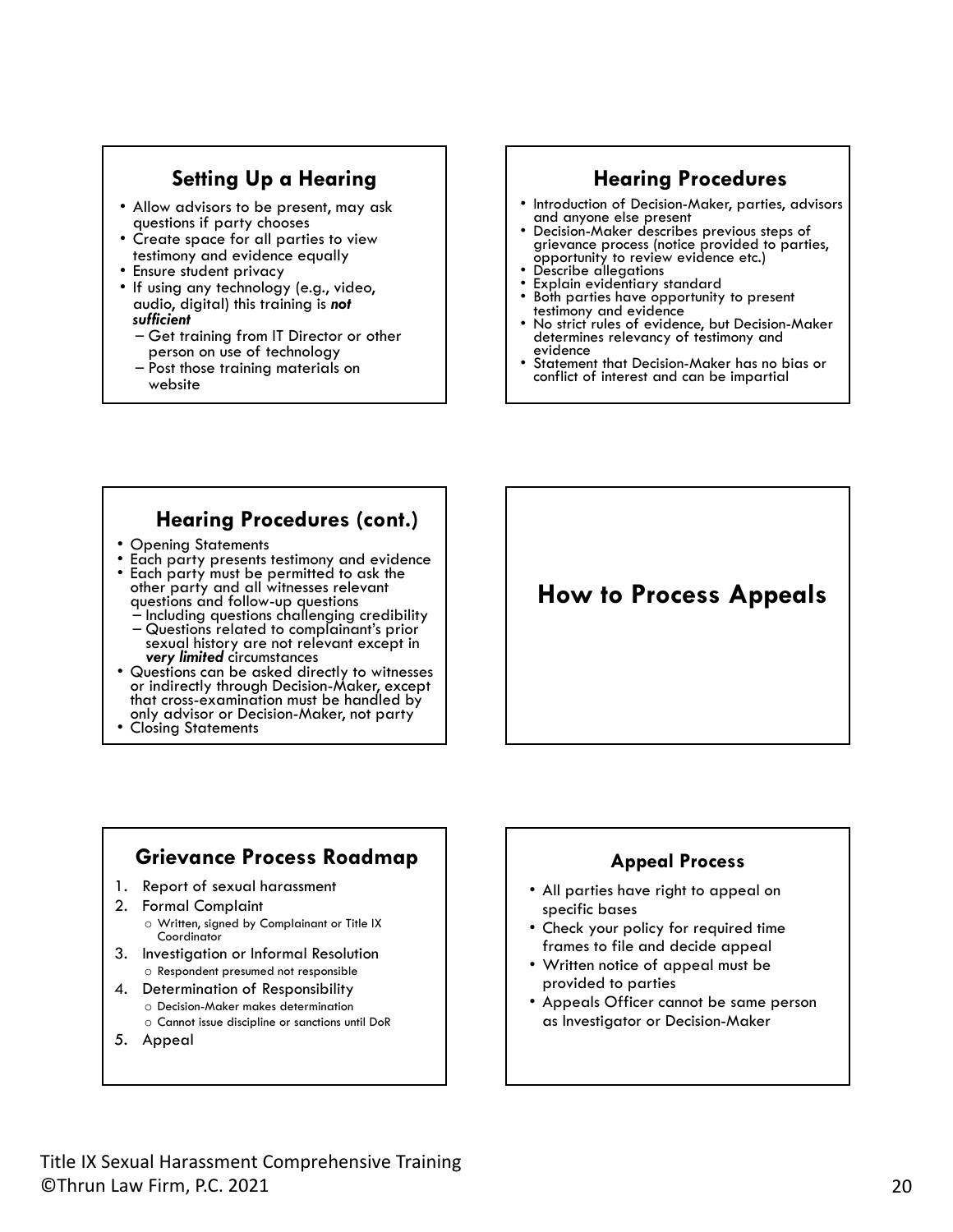#### **Setting Up a Hearing**

- Allow advisors to be present, may ask
- questions if party chooses<br>• Create space for all parties to view<br>testimony and evidence equally
- 
- Ensure student privacy<br>• If using any technology (e.g., video, audio, digital) this training is *not* 
	- *sufficient* Get training from IT Director or other
	- Post those training materials on website

## **Hearing Procedures**

- Introduction of Decision-Maker, parties, advisors
- and anyone else present<br>
Decision-Maker describes previous steps of<br>
grievance process (notice provided to parties, opportunity to review evidence etc.)<br>• Describe allegations<br>• Explain evidentiary standard
- 
- Both parties have opportunity to present
- No strict rules of evidence, but Decision-Maker determines relevancy of testimony and evidence
- Statement that Decision-Maker has no bias or conflict of interest and can be impartial

#### **Hearing Procedures (cont.)**

- Opening Statements
- Each party presents testimony and evidence Each party must be permitted to ask the other party and all witnesses relevant<br>questions and follow-up questions
	-
	- Including questions challenging credibility<br>- Questions related to complainant's prior sexual history are not relevant except in **very limited** circumstances
- **•** Questions can be asked directly to witnesses or indirectly through Decision-Maker, except that cross-examination must be handled by only advisor or Decision-Maker, not party • Closing Statements
- 

## **How to Process Appeals**

#### **Grievance Process Roadmap**

- 1. Report of sexual harassment
- 2. Formal Complaint o Written, signed by Complainant or Title IX **Coordinator**
- 3. Investigation or Informal Resolution o Respondent presumed not responsible
- 4. Determination of Responsibility
	- o Decision-Maker makes determination
	- o Cannot issue discipline or sanctions until DoR
- 5. Appeal

#### **Appeal Process**

- All parties have right to appeal on specific bases
- Check your policy for required time frames to file and decide appeal
- Written notice of appeal must be provided to parties
- Appeals Officer cannot be same person as Investigator or Decision-Maker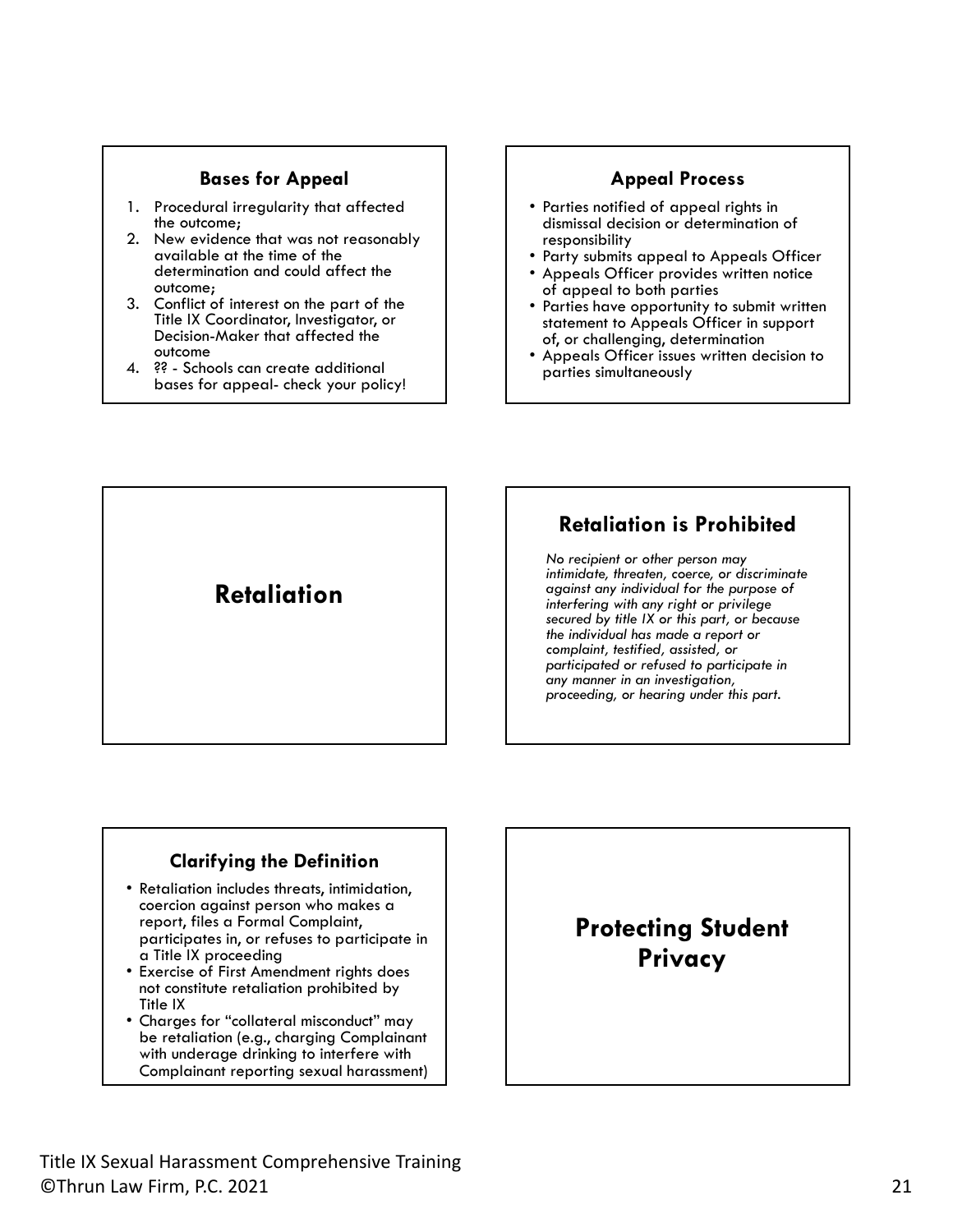#### **Bases for Appeal**  Appeal Process

- 1. Procedural irregularity that affected the outcome;
- 2. New evidence that was not reasonably available at the time of the determination and could affect the outcome;
- 3. Conflict of interest on the part of the Title IX Coordinator, Investigator, or Decision-Maker that affected the outcome
- 4. ?? Schools can create additional bases for appeal- check your policy!

- Parties notified of appeal rights in dismissal decision or determination of
- Party submits appeal to Appeals Officer<br>• Appeals Officer provides written notice
- 
- of appeal to both parties Parties have opportunity to submit written statement to Appeals Officer in support<br>of, or challenging, determination
- Appeals Officer issues written decision to parties simultaneously

**Retaliation** 

## **Retaliation is Prohibited**

*No recipient or other person may intimidate, threaten, coerce, or discriminate against any individual for the purpose of interfering with any right or privilege secured by title IX or this part, or because the individual has made a report or complaint, testified, assisted, or participated or refused to participate in any manner in an investigation, proceeding, or hearing under this part.* 

#### **Clarifying the Definition**

- Retaliation includes threats, intimidation, coercion against person who makes a report, files a Formal Complaint, participates in, or refuses to participate in
- a Title IX proceeding Exercise of First Amendment rights does not constitute retaliation prohibited by Title IX
- Charges for "collateral misconduct" may be retaliation (e.g., charging Complainant with underage drinking to interfere with Complainant reporting sexual harassment)

## **Protecting Student Privacy**